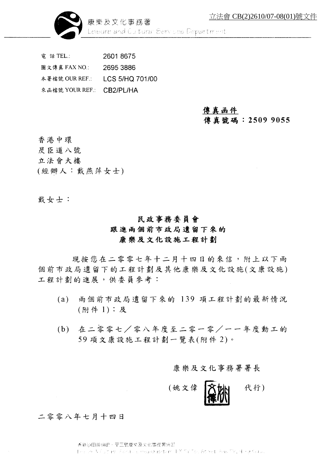

康樂及文化事務署 Leibure and Cultural Services Department

雷 話 TEL.: 26018675 圖文傳真 FAX NO.: 2695 3886 本署檔號 OUR REF.: LCS 5/HQ 701/00 來函檔號 YOUR REF.: CB2/PL/HA

#### 傳真函件 傳真號碼: 2509 9055

香港中環

- 昃臣道八號
- 立法會大樓
- (經辦人:戴燕萍女士)

戴女士:

### 民政事務委員會 跟進兩個前市政局遺留下來的 康樂及文化設施工程計劃

現按您在二零零七年十二月十四日的來信,附上以下兩 個前市政局遺留下的工程計劃及其他康樂及文化設施(文康設施) 工程計劃的進展,供委員參考:

- 兩個前市政局遺留下來的 139 項工程計劃的最新情況  $(a)$ (附件 1);及
- (b) 在二零零七/零八年度至二零一零/一一年度動工的 59項文康設施工程計劃一覽表(附件2)。

#### 康樂及文化事務署署長



#### 二零零八年七月十四日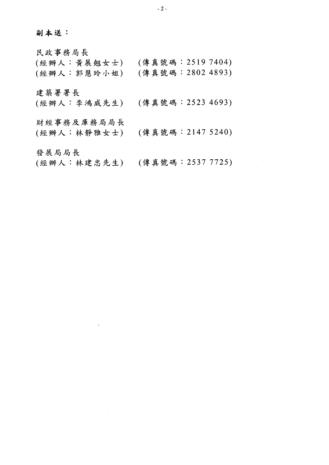副本送:

民政事務局長 (經辦人:黃展翹女士) (傳真號碼: 2519 7404) (傳真號碼: 2802 4893) (經辦人:郭慧玲小姐) 建築署署長 (經辦人:李鴻威先生) (傳真號碼: 2523 4693) 財經事務及庫務局局長 (經辦人:林靜雅女士) (傳真號碼:2147 5240) 發展局局長 (經辦人:林建忠先生) (傳真號碼: 2537 7725)

 $-2-$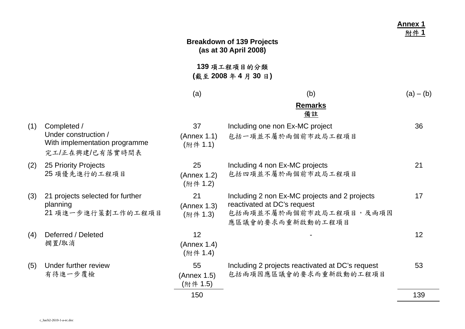|     |                                                                                         |                               | <b>Breakdown of 139 Projects</b><br>(as at 30 April 2008)                                                                    | <b>Annex 1</b><br>附件1 |
|-----|-----------------------------------------------------------------------------------------|-------------------------------|------------------------------------------------------------------------------------------------------------------------------|-----------------------|
|     |                                                                                         |                               | 139 項工程項目的分類<br>(截至 2008 年 4 月 30 日)                                                                                         |                       |
|     |                                                                                         | (a)                           | (b)                                                                                                                          | $(a) - (b)$           |
|     |                                                                                         |                               | <b>Remarks</b><br>備註                                                                                                         |                       |
| (1) | Completed /<br>Under construction /<br>With implementation programme<br>完工/正在興建/已有落實時間表 | 37<br>(Annex 1.1)<br>(附件 1.1) | Including one non Ex-MC project<br>包括一項並不屬於兩個前市政局工程項目                                                                        | 36                    |
| (2) | 25 Priority Projects<br>25 項優先進行的工程項目                                                   | 25<br>(Annex 1.2)<br>(附件 1.2) | Including 4 non Ex-MC projects<br>包括四項並不屬於兩個前市政局工程項目                                                                         | 21                    |
| (3) | 21 projects selected for further<br>planning<br>21 項進一步進行策劃工作的工程項目                      | 21<br>(Annex 1.3)<br>(附件 1.3) | Including 2 non Ex-MC projects and 2 projects<br>reactivated at DC's request<br>包括兩項並不屬於兩個前市政局工程項目,及兩項因<br>應區議會的要求而重新啟動的工程項目 | 17                    |
| (4) | Deferred / Deleted<br>擱置/取消                                                             | 12<br>(Annex 1.4)<br>(附件 1.4) |                                                                                                                              | 12                    |
| (5) | Under further review<br>有待進一步覆檢                                                         | 55<br>(Annex 1.5)<br>(附件 1.5) | Including 2 projects reactivated at DC's request<br>包括兩項因應區議會的要求而重新啟動的工程項目                                                   | 53                    |
|     |                                                                                         | 150                           |                                                                                                                              | 139                   |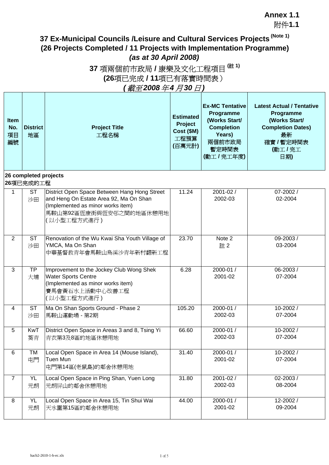附件**1.1**

**Latest Actual / Tentative**

## **37 Ex-Municipal Councils /Leisure and Cultural Services Projects (Note 1) (26 Projects Completed / 11 Projects with Implementation Programme)** *(as at 30 April 2008)*

## **37** 項兩個前市政局 **/** 康樂及文化工程項目 **(**註 **1) (26**項已完成 **/ 11**項已有落實時間表) *(* 截至 *2008*年 *4* 月 *30* 日 *)*

**Ex-MC Tentative**

| Item<br>No.<br>項目<br>編號 | <b>District</b><br>地區              | <b>Project Title</b><br>工程名稱                                                                                                                                          | <b>Estimated</b><br>Project<br>Cost (\$M)<br>工程預算<br>(百萬元計) | Programme<br>(Works Start/<br><b>Completion</b><br>Years)<br>兩個前市政局<br>暫定時間表<br>(動工/完工年度) | Programme<br>(Works Start/<br><b>Completion Dates)</b><br>最新<br>確實 / 暫定時間表<br>(動工/完工<br>日期) |
|-------------------------|------------------------------------|-----------------------------------------------------------------------------------------------------------------------------------------------------------------------|-------------------------------------------------------------|-------------------------------------------------------------------------------------------|---------------------------------------------------------------------------------------------|
|                         | 26 completed projects<br>26項已完成的工程 |                                                                                                                                                                       |                                                             |                                                                                           |                                                                                             |
| $\mathbf{1}$            | <b>ST</b><br>沙田                    | District Open Space Between Hang Hong Street<br>and Heng On Estate Area 92, Ma On Shan<br>(Implemented as minor works item)<br>馬鞍山第92區恆康街與恆安邨之間的地區休憩用地<br>(以小型工程方式進行) | 11.24                                                       | 2001-02 /<br>2002-03                                                                      | 07-2002 /<br>02-2004                                                                        |
| $\overline{2}$          | <b>ST</b><br>沙田                    | Renovation of the Wu Kwai Sha Youth Village of<br>YMCA, Ma On Shan<br>中華基督教青年會馬鞍山烏溪沙青年新村翻新工程                                                                          | 23.70                                                       | Note 2<br>註2                                                                              | 09-2003 /<br>03-2004                                                                        |
| 3                       | <b>TP</b><br>大埔                    | Improvement to the Jockey Club Wong Shek<br><b>Water Sports Centre</b><br>(Implemented as minor works item)<br>賽馬會黃石水上活動中心改善工程<br>(以小型工程方式進行)                         | 6.28                                                        | 2000-01 /<br>2001-02                                                                      | 06-2003/<br>07-2004                                                                         |
| $\overline{4}$          | <b>ST</b><br>沙田                    | Ma On Shan Sports Ground - Phase 2<br>馬鞍山運動場 - 第2期                                                                                                                    | 105.20                                                      | 2000-01 /<br>2002-03                                                                      | 10-2002/<br>07-2004                                                                         |
| 5                       | KwT<br>葵青                          | District Open Space in Areas 3 and 8, Tsing Yi<br>青衣第3及8區的地區休憩用地                                                                                                      | 66.60                                                       | 2000-01 /<br>2002-03                                                                      | 10-2002 /<br>07-2004                                                                        |
| 6                       | <b>TM</b><br>屯門                    | Local Open Space in Area 14 (Mouse Island),<br><b>Tuen Mun</b><br>屯門第14區(老鼠島)的鄰舍休憩用地                                                                                  | 31.40                                                       | 2000-01 /<br>2001-02                                                                      | 10-2002 /<br>07-2004                                                                        |
| $\overline{7}$          | <b>YL</b><br>元朗                    | Local Open Space in Ping Shan, Yuen Long<br>元朗屏山的鄰舍休憩用地                                                                                                               | 31.80                                                       | 2001-02 /<br>2002-03                                                                      | 02-2003/<br>08-2004                                                                         |
| 8                       | <b>YL</b><br>元朗                    | Local Open Space in Area 15, Tin Shui Wai<br>天水圍第15區的鄰舍休憩用地                                                                                                           | 44.00                                                       | 2000-01 /<br>2001-02                                                                      | 12-2002 /<br>09-2004                                                                        |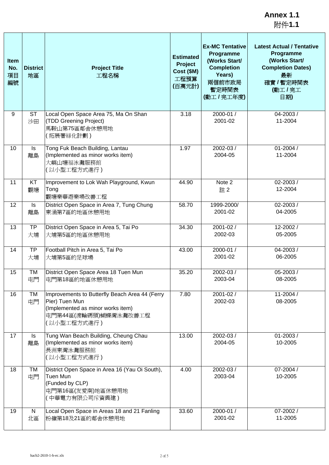附件**1.1**

| Item<br>No.<br>項目<br>編號 | <b>District</b><br>地區 | <b>Project Title</b><br>工程名稱                                                                                                                  | <b>Estimated</b><br>Project<br>Cost (\$M)<br>工程預算<br>(百萬元計) | <b>Ex-MC Tentative</b><br>Programme<br>(Works Start/<br><b>Completion</b><br>Years)<br>兩個前市政局<br>暫定時間表<br>(動工/完工年度) | <b>Latest Actual / Tentative</b><br>Programme<br>(Works Start/<br><b>Completion Dates)</b><br>最新<br>確實 / 暫定時間表<br>(動工/完工<br>日期) |
|-------------------------|-----------------------|-----------------------------------------------------------------------------------------------------------------------------------------------|-------------------------------------------------------------|---------------------------------------------------------------------------------------------------------------------|---------------------------------------------------------------------------------------------------------------------------------|
| 9                       | <b>ST</b><br>沙田       | Local Open Space Area 75, Ma On Shan<br>(TDD Greening Project)<br>馬鞍山第75區鄰舍休憩用地<br>(拓展署緑化計劃)                                                  | 3.18                                                        | 2000-01 /<br>2001-02                                                                                                | 04-2003 /<br>11-2004                                                                                                            |
| 10                      | ls<br>離島              | Tong Fuk Beach Building, Lantau<br>(Implemented as minor works item)<br>大嶼山塘福泳灘服務館<br>(以小型工程方式進行)                                             | 1.97                                                        | 2002-03 /<br>2004-05                                                                                                | $01 - 2004/$<br>11-2004                                                                                                         |
| 11                      | KT<br>觀塘              | Improvement to Lok Wah Playground, Kwun<br>Tong<br>觀塘樂華遊樂場改善工程                                                                                | 44.90                                                       | Note 2<br>註2                                                                                                        | 02-2003/<br>12-2004                                                                                                             |
| 12                      | Is<br>離島              | District Open Space in Area 7, Tung Chung<br>東涌第7區的地區休憩用地                                                                                     | 58.70                                                       | 1999-2000/<br>2001-02                                                                                               | 02-2003/<br>04-2005                                                                                                             |
| 13                      | <b>TP</b><br>大埔       | District Open Space in Area 5, Tai Po<br>大埔第5區的地區休憩用地                                                                                         | 34.30                                                       | 2001-02 /<br>2002-03                                                                                                | 12-2002 /<br>05-2005                                                                                                            |
| 14                      | <b>TP</b><br>大埔       | Football Pitch in Area 5, Tai Po<br>大埔第5區的足球場                                                                                                 | 43.00                                                       | 2000-01 /<br>2001-02                                                                                                | 04-2003/<br>06-2005                                                                                                             |
| 15                      | TM<br>屯門              | District Open Space Area 18 Tuen Mun<br>屯門第18區的地區休憩用地                                                                                         | 35.20                                                       | 2002-03 /<br>2003-04                                                                                                | 05-2003 /<br>08-2005                                                                                                            |
| 16                      | TM<br>屯門              | Improvements to Butterfly Beach Area 44 (Ferry<br>Pier) Tuen Mun<br>(Implemented as minor works item)<br>屯門第44區(渡輪碼頭)蝴蝶灣泳灘改善工程<br>(以小型工程方式進行) | 7.80                                                        | 2001-02 /<br>2002-03                                                                                                | 11-2004 /<br>08-2005                                                                                                            |
| 17                      | ls<br>離島              | Tung Wan Beach Building, Cheung Chau<br>(Implemented as minor works item)<br>長洲東灣泳灘服務館<br>(以小型工程方式進行)                                         | 13.00                                                       | 2002-03 /<br>2004-05                                                                                                | $01 - 2003/$<br>10-2005                                                                                                         |
| 18                      | TM<br>屯門              | District Open Space in Area 16 (Yau Oi South),<br>Tuen Mun<br>(Funded by CLP)<br>屯門第16區(友愛南)地區休憩用地<br>(中華電力有限公司斥資興建)                          | 4.00                                                        | 2002-03 /<br>2003-04                                                                                                | 07-2004 /<br>10-2005                                                                                                            |
| 19                      | $\mathsf{N}$<br>北區    | Local Open Space in Areas 18 and 21 Fanling<br>粉嶺第18及21區的鄰舍休憩用地                                                                               | 33.60                                                       | 2000-01 /<br>2001-02                                                                                                | 07-2002 /<br>11-2005                                                                                                            |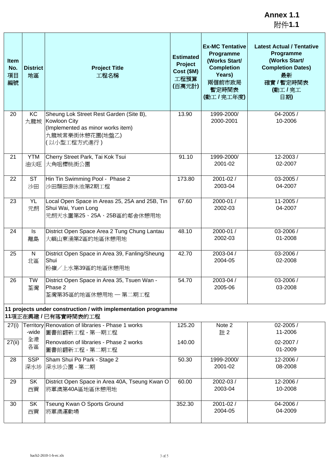附件**1.1**

| <b>Item</b><br>No.<br>項目<br>編號 | <b>District</b><br>地區 | <b>Project Title</b><br>工程名稱                                                                                                   | <b>Estimated</b><br>Project<br>Cost (\$M)<br>工程預算<br>(百萬元計) | <b>Ex-MC Tentative</b><br>Programme<br>(Works Start/<br><b>Completion</b><br>Years)<br>兩個前市政局<br>暫定時間表<br>(動工/完工年度) | <b>Latest Actual / Tentative</b><br>Programme<br>(Works Start/<br><b>Completion Dates)</b><br>最新<br>確實 / 暫定時間表<br>(動工/完工<br>日期) |
|--------------------------------|-----------------------|--------------------------------------------------------------------------------------------------------------------------------|-------------------------------------------------------------|---------------------------------------------------------------------------------------------------------------------|---------------------------------------------------------------------------------------------------------------------------------|
| 20                             | KC<br>九龍城             | Sheung Lok Street Rest Garden (Site B),<br>Kowloon City<br>(Implemented as minor works item)<br>九龍城常樂街休憩花園(地盤乙)<br>(以小型工程方式進行) | 13.90                                                       | 1999-2000/<br>2000-2001                                                                                             | 04-2005 /<br>10-2006                                                                                                            |
| 21                             | <b>YTM</b><br>油尖旺     | Cherry Street Park, Tai Kok Tsui<br>大角咀櫻桃街公園                                                                                   | 91.10                                                       | 1999-2000/<br>2001-02                                                                                               | 12-2003/<br>02-2007                                                                                                             |
| 22                             | <b>ST</b><br>沙田       | Hin Tin Swimming Pool - Phase 2<br>沙田顯田游泳池第2期工程                                                                                | 173.80                                                      | 2001-02 /<br>2003-04                                                                                                | 03-2005 /<br>04-2007                                                                                                            |
| 23                             | <b>YL</b><br>元朗       | Local Open Space in Areas 25, 25A and 25B, Tin<br>Shui Wai, Yuen Long<br>元朗天水圍第25、25A、25B區的鄰舍休憩用地                              | 67.60                                                       | 2000-01 /<br>2002-03                                                                                                | 11-2005 /<br>04-2007                                                                                                            |
| 24                             | Is<br>離島              | District Open Space Area 2 Tung Chung Lantau<br>大嶼山東涌第2區的地區休憩用地                                                                | 48.10                                                       | 2000-01 /<br>2002-03                                                                                                | 03-2006 /<br>01-2008                                                                                                            |
| 25                             | ${\sf N}$<br>北區       | District Open Space in Area 39, Fanling/Sheung<br>Shui<br>粉嶺/上水第39區的地區休憩用地                                                     | 42.70                                                       | 2003-04 /<br>2004-05                                                                                                | 03-2006 /<br>02-2008                                                                                                            |
| 26                             | TW<br>荃灣              | District Open Space in Area 35, Tsuen Wan -<br>Phase 2<br>荃灣第35區的地區休憩用地 一 第二期工程                                                | 54.70                                                       | 2003-04 /<br>2005-06                                                                                                | 03-2006 /<br>03-2008                                                                                                            |
|                                |                       | 11 projects under construction / with implementation programme<br>11項正在興建/已有落實時間表的工程                                           |                                                             |                                                                                                                     |                                                                                                                                 |
| 27(i)                          | -wide                 | Territory Renovation of libraries - Phase 1 works<br>圖書館翻新工程 - 第一期工程                                                           | 125.20                                                      | Note 2<br>註2                                                                                                        | 02-2005 /<br>11-2006                                                                                                            |
| 27(ii)                         | 全港<br>各區              | Renovation of libraries - Phase 2 works<br>圖書館翻新工程 - 第二期工程                                                                     | 140.00                                                      |                                                                                                                     | 02-2007 /<br>01-2009                                                                                                            |
| 28                             | <b>SSP</b><br>深水埗     | Sham Shui Po Park - Stage 2<br>深水埗公園 - 第二期                                                                                     | 50.30                                                       | 1999-2000/<br>2001-02                                                                                               | 12-2006 /<br>08-2008                                                                                                            |
| 29                             | SK<br>西貢              | District Open Space in Area 40A, Tseung Kwan O<br>將軍澳第40A區地區休憩用地                                                               | 60.00                                                       | 2002-03 /<br>2003-04                                                                                                | 12-2006 /<br>10-2008                                                                                                            |
| 30                             | SK<br>西貢              | Tseung Kwan O Sports Ground<br>將軍澳運動場                                                                                          | 352.30                                                      | 2001-02 /<br>2004-05                                                                                                | 04-2006 /<br>04-2009                                                                                                            |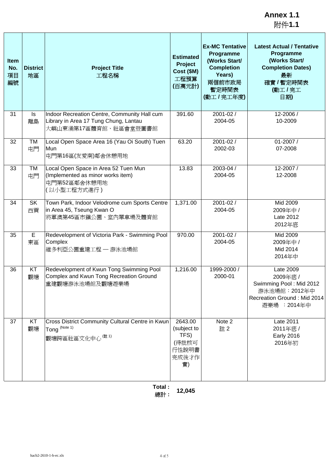附件**1.1**

| <b>Item</b><br>No.<br>項目<br>編號 | <b>District</b><br>地區 | <b>Project Title</b><br>工程名稱                                                                                   | <b>Estimated</b><br>Project<br>Cost (\$M)<br>工程預算<br>(百萬元計)     | <b>Ex-MC Tentative</b><br>Programme<br>(Works Start/<br><b>Completion</b><br>Years)<br>兩個前市政局<br>暫定時間表<br>(動工/完工年度) | <b>Latest Actual / Tentative</b><br>Programme<br>(Works Start/<br><b>Completion Dates)</b><br>最新<br>確實 / 暫定時間表<br>(動工/完工<br>日期) |
|--------------------------------|-----------------------|----------------------------------------------------------------------------------------------------------------|-----------------------------------------------------------------|---------------------------------------------------------------------------------------------------------------------|---------------------------------------------------------------------------------------------------------------------------------|
| 31                             | Is<br>離島              | Indoor Recreation Centre, Community Hall cum<br>Library in Area 17 Tung Chung, Lantau<br>大嶼山東涌第17區體育館、社區會堂暨圖書館 | 391.60                                                          | 2001-02 /<br>2004-05                                                                                                | 12-2006 /<br>10-2009                                                                                                            |
| 32                             | TM<br>屯門              | Local Open Space Area 16 (Yau Oi South) Tuen<br>Mun<br>屯門第16區(友愛南)鄰舍休憩用地                                       | 63.20                                                           | 2001-02 /<br>2002-03                                                                                                | 01-2007 /<br>07-2008                                                                                                            |
| 33                             | <b>TM</b><br>屯門       | Local Open Space in Area 52 Tuen Mun<br>(Implemented as minor works item)<br>屯門第52區鄰舍休憩用地<br>(以小型工程方式進行)       | 13.83                                                           | 2003-04 /<br>2004-05                                                                                                | 12-2007 /<br>12-2008                                                                                                            |
| 34                             | SK<br>西貢              | Town Park, Indoor Velodrome cum Sports Centre<br>in Area 45, Tseung Kwan O<br>將軍澳第45區市鎭公園、室內單車場及體育館            | 1,371.00                                                        | 2001-02 /<br>2004-05                                                                                                | Mid 2009<br>2009年中 /<br>Late 2012<br>2012年底                                                                                     |
| 35                             | E<br>東區               | Redevelopment of Victoria Park - Swimming Pool<br>Complex<br>維多利亞公園重建工程 - 游泳池場館                                | 970.00                                                          | 2001-02 /<br>2004-05                                                                                                | Mid 2009<br>2009年中 /<br>Mid 2014<br>2014年中                                                                                      |
| 36                             | KT<br>觀塘              | Redevelopment of Kwun Tong Swimming Pool<br>Complex and Kwun Tong Recreation Ground<br>重建觀塘游泳池場館及觀塘遊樂場         | 1,216.00                                                        | 1999-2000 /<br>2000-01                                                                                              | Late 2009<br>2009年底 /<br>Swimming Pool: Mid 2012<br>游泳池場館: 2012年中<br>Recreation Ground: Mid 2014<br>遊樂場: 2014年中                 |
| 37                             | KT<br>觀塘              | Cross District Community Cultural Centre in Kwun<br>Tong <sup>(Note 1)</sup><br>觀塘跨區社區文化中心 (註1)                | 2643.00<br>(subject to<br>TFS)<br>(待批核可<br>行性說明書<br>完成後才作<br>實) | Note 2<br>註2                                                                                                        | Late 2011<br>2011年底 /<br><b>Early 2016</b><br>2016年初                                                                            |

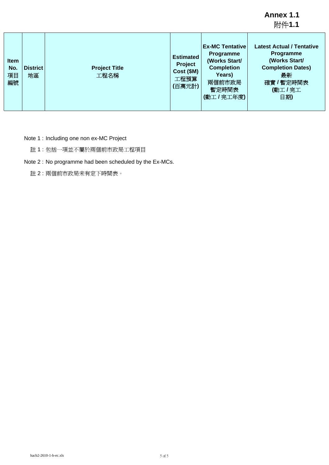|                                |                |                              |                                                             |                                                                                                                     | 竹件1.1                                                                                                                             |
|--------------------------------|----------------|------------------------------|-------------------------------------------------------------|---------------------------------------------------------------------------------------------------------------------|-----------------------------------------------------------------------------------------------------------------------------------|
| <b>Item</b><br>No.<br>項目<br>編號 | District<br>地區 | <b>Project Title</b><br>工程名稱 | <b>Estimated</b><br>Project<br>Cost (\$M)<br>工程預算<br>(百萬元計) | <b>Ex-MC Tentative</b><br>Programme<br>(Works Start/<br><b>Completion</b><br>Years)<br>兩個前市政局<br>暫定時間表<br>(動工/完工年度) | <b>Latest Actual / Tentative</b><br>Programme<br>(Works Start/<br><b>Completion Dates)</b><br>最新<br>確實 / 暫定時間表<br>(動工 / 完工<br>日期) |

Note 1 : Including one non ex-MC Project

註 1 : 包括一項並不屬於兩個前市政局工程項目

Note 2 : No programme had been scheduled by the Ex-MCs.

註 2 : 兩個前市政局未有定下時間表。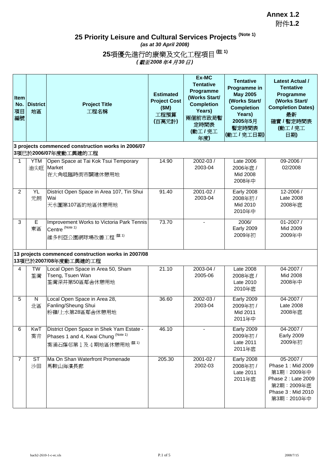# **25 Priority Leisure and Cultural Services Projects (Note 1)**

*(as at 30 April 2008)*

**25**項優先進行的康樂及文化工程項目 **(**註 **1)**

*(* 截至 *2008*年 *4* 月 *30*日 *)*

| <b>Item</b><br>No.<br>項目<br>編號 | <b>District</b><br>地區 | <b>Project Title</b><br>工程名稱                                                                                        | <b>Estimated</b><br><b>Project Cost</b><br>(SM)<br>工程預算<br>(百萬元計) | Ex-MC<br><b>Tentative</b><br>Programme<br>(Works Start/<br><b>Completion</b><br>Years)<br>兩個前市政局暫<br>定時間表<br>(動工/完工<br>年度) | <b>Tentative</b><br>Programme in<br><b>May 2005</b><br>(Works Start/<br><b>Completion</b><br>Years)<br>2005年5月<br>暫定時間表<br>(動工/完工日期) | <b>Latest Actual /</b><br><b>Tentative</b><br>Programme<br>(Works Start/<br><b>Completion Dates)</b><br>最新<br>確實 / 暫定時間表<br>(動工/完工<br>日期) |
|--------------------------------|-----------------------|---------------------------------------------------------------------------------------------------------------------|-------------------------------------------------------------------|----------------------------------------------------------------------------------------------------------------------------|--------------------------------------------------------------------------------------------------------------------------------------|-------------------------------------------------------------------------------------------------------------------------------------------|
|                                |                       | 3 projects commenced construction works in 2006/07<br>3項已於2006/07年度動工興建的工程                                          |                                                                   |                                                                                                                            |                                                                                                                                      |                                                                                                                                           |
| 1                              | <b>YTM</b><br>油尖旺     | Open Space at Tai Kok Tsui Temporary<br>Market<br>在大角咀臨時街市闢建休憩用地                                                    | 14.90                                                             | 2002-03 /<br>2003-04                                                                                                       | Late 2006<br>2006年底 /<br>Mid 2008<br>2008年中                                                                                          | 09-2006 /<br>02/2008                                                                                                                      |
| $\overline{2}$                 | YL<br>元朗              | District Open Space in Area 107, Tin Shui<br>Wai<br>天水圍第107區的地區休憩用地                                                 | 91.40                                                             | $2001 - 02/$<br>2003-04                                                                                                    | <b>Early 2008</b><br>2008年初 /<br>Mid 2010<br>2010年中                                                                                  | 12-2006 /<br>Late 2008<br>2008年底                                                                                                          |
| 3                              | E<br>東區               | Improvement Works to Victoria Park Tennis<br>Centre (Note 1)<br>維多利亞公園網球場改善工程 (# 1)                                 | 73.70                                                             |                                                                                                                            | 2006/<br><b>Early 2009</b><br>2009年初                                                                                                 | 01-2007 /<br>Mid 2009<br>2009年中                                                                                                           |
|                                |                       | 13 projects commenced construction works in 2007/08<br>13項已於2007/08年度動工興建的工程                                        |                                                                   |                                                                                                                            |                                                                                                                                      |                                                                                                                                           |
| 4                              | TW<br>荃灣              | Local Open Space in Area 50, Sham<br>Tseng, Tsuen Wan<br>荃灣深井第50區鄰舍休憩用地                                             | 21.10                                                             | 2003-04 /<br>2005-06                                                                                                       | Late $2008$<br>2008年底/<br>Late 2010<br>2010年底                                                                                        | 04-2007 /<br>Mid 2008<br>2008年中                                                                                                           |
| 5                              | ${\sf N}$<br>北區       | Local Open Space in Area 28,<br>Fanling/Sheung Shui<br>粉嶺/上水第28區鄰舍休憩用地                                              | 36.60                                                             | 2002-03 /<br>2003-04                                                                                                       | <b>Early 2009</b><br>2009年初 /<br>Mid 2011<br>2011年中                                                                                  | 04-2007 /<br>Late 2008<br>2008年底                                                                                                          |
| 6                              | KwT<br>葵青             | District Open Space in Shek Yam Estate -<br>Phases 1 and 4, Kwai Chung (Note 1)<br>葵涌石蔭邨第1及4期地區休憩用地 <sup>(註1)</sup> | 46.10                                                             |                                                                                                                            | <b>Early 2009</b><br>2009年初 /<br>Late 2011<br>2011年底                                                                                 | 04-2007 /<br><b>Early 2009</b><br>2009年初                                                                                                  |
| 7                              | <b>ST</b><br>沙田       | Ma On Shan Waterfront Promenade<br>馬鞍山海濱長廊                                                                          | 205.30                                                            | 2001-02 /<br>2002-03                                                                                                       | <b>Early 2008</b><br>2008年初 /<br>Late 2011<br>2011年底                                                                                 | 05-2007 /<br>Phase 1: Mid 2009<br>第1期:2009年中<br>Phase 2 : Late 2009<br>第2期: 2009年底<br>Phase 3 : Mid 2010<br>第3期:2010年中                    |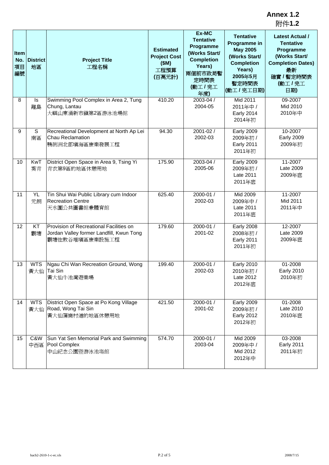| Item<br>No.<br>項目<br>編號 | <b>District</b><br>地區 | <b>Project Title</b><br>工程名稱                                                                          | <b>Estimated</b><br><b>Project Cost</b><br>(SM)<br>工程預算<br>(百萬元計) | Ex-MC<br><b>Tentative</b><br>Programme<br>(Works Start/<br><b>Completion</b><br>Years)<br>兩個前市政局暫<br>定時間表<br>(動工/完工<br>年度) | <b>Tentative</b><br>Programme in<br><b>May 2005</b><br>(Works Start/<br><b>Completion</b><br>Years)<br>2005年5月<br>暫定時間表<br>(動工/完工日期) | <b>Latest Actual /</b><br><b>Tentative</b><br>Programme<br>(Works Start/<br><b>Completion Dates)</b><br>最新<br>確實 / 暫定時間表<br>(動工/完工<br>日期) |
|-------------------------|-----------------------|-------------------------------------------------------------------------------------------------------|-------------------------------------------------------------------|----------------------------------------------------------------------------------------------------------------------------|--------------------------------------------------------------------------------------------------------------------------------------|-------------------------------------------------------------------------------------------------------------------------------------------|
| 8                       | Is<br>離島              | Swimming Pool Complex in Area 2, Tung<br>Chung, Lantau<br>大嶼山東涌新市鎭第2區游泳池場館                            | 410.20                                                            | 2003-04 /<br>2004-05                                                                                                       | Mid 2011<br>2011年中 /<br><b>Early 2014</b><br>2014年初                                                                                  | 09-2007<br>Mid 2010<br>2010年中                                                                                                             |
| 9                       | S<br>南區               | Recreational Development at North Ap Lei<br>Chau Reclamation<br>鴨脷洲北部填海區康樂發展工程                        | 94.30                                                             | 2001-02 /<br>2002-03                                                                                                       | <b>Early 2009</b><br>2009年初 /<br><b>Early 2011</b><br>2011年初                                                                         | 10-2007<br><b>Early 2009</b><br>2009年初                                                                                                    |
| 10                      | KwT<br>葵青             | District Open Space in Area 9, Tsing Yi<br>青衣第9區的地區休憩用地                                               | 175.90                                                            | 2003-04 /<br>2005-06                                                                                                       | <b>Early 2009</b><br>2009年初 /<br>Late 2011<br>2011年底                                                                                 | 11-2007<br>Late 2009<br>2009年底                                                                                                            |
| 11                      | <b>YL</b><br>元朗       | Tin Shui Wai Public Library cum Indoor<br><b>Recreation Centre</b><br>天水圍公共圖書館兼體育館                    | 625.40                                                            | 2000-01 /<br>2002-03                                                                                                       | Mid 2009<br>2009年中 /<br>Late 2011<br>2011年底                                                                                          | 11-2007<br>Mid 2011<br>2011年中                                                                                                             |
| 12                      | KT<br>觀塘              | Provision of Recreational Facilities on<br>Jordan Valley former Landfill, Kwun Tong<br>觀塘佐敦谷堆填區康樂設施工程 | 179.60                                                            | 2000-01 /<br>2001-02                                                                                                       | <b>Early 2008</b><br>2008年初 /<br><b>Early 2011</b><br>2011年初                                                                         | 12-2007<br>Late 2009<br>2009年底                                                                                                            |
| 13                      | <b>WTS</b><br>黃大仙     | Ngau Chi Wan Recreation Ground, Wong<br>Tai Sin<br>黃大仙牛池灣遊樂場                                          | 199.40                                                            | 2000-01 /<br>2002-03                                                                                                       | <b>Early 2010</b><br>2010年初 /<br>Late 2012<br>2012年底                                                                                 | 01-2008<br><b>Early 2010</b><br>2010年初                                                                                                    |
| 14                      | <b>WTS</b>            | District Open Space at Po Kong Village<br>黃大仙 Road, Wong Tai Sin<br>黃大仙蒲崗村道的地區休憩用地                    | 421.50                                                            | 2000-01 /<br>2001-02                                                                                                       | <b>Early 2009</b><br>2009年初 /<br><b>Early 2012</b><br>2012年初                                                                         | 01-2008<br>Late 2010<br>2010年底                                                                                                            |
| 15                      | C&W<br>中西區            | Sun Yat Sen Memorial Park and Swimming<br>Pool Complex<br>中山紀念公園暨游泳池塲館                                | 574.70                                                            | 2000-01 /<br>2003-04                                                                                                       | Mid 2009<br>2009年中 /<br>Mid 2012<br>2012年中                                                                                           | 03-2008<br><b>Early 2011</b><br>2011年初                                                                                                    |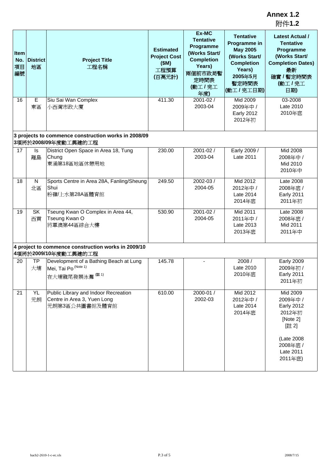| Item<br>No.<br>項目<br>編號 | <b>District</b><br>地區 | <b>Project Title</b><br>工程名稱                                                          | <b>Estimated</b><br><b>Project Cost</b><br>(SM)<br>工程預算<br>(百萬元計) | Ex-MC<br><b>Tentative</b><br>Programme<br>(Works Start/<br><b>Completion</b><br>Years)<br>兩個前市政局暫<br>定時間表<br>(動工/完工<br>年度) | <b>Tentative</b><br>Programme in<br><b>May 2005</b><br>(Works Start/<br><b>Completion</b><br>Years)<br>2005年5月<br>暫定時間表<br>(動工/完工日期) | <b>Latest Actual /</b><br><b>Tentative</b><br>Programme<br>(Works Start/<br><b>Completion Dates)</b><br>最新<br>確實 / 暫定時間表<br>(動工/完工<br>日期) |
|-------------------------|-----------------------|---------------------------------------------------------------------------------------|-------------------------------------------------------------------|----------------------------------------------------------------------------------------------------------------------------|--------------------------------------------------------------------------------------------------------------------------------------|-------------------------------------------------------------------------------------------------------------------------------------------|
| 16                      | Е<br>東區               | Siu Sai Wan Complex<br>小西灣市政大廈                                                        | 411.30                                                            | 2001-02 /<br>2003-04                                                                                                       | Mid 2009<br>2009年中 /<br><b>Early 2012</b><br>2012年初                                                                                  | 03-2008<br>Late 2010<br>2010年底                                                                                                            |
|                         |                       | 3 projects to commence construction works in 2008/09<br>3項將於2008/09年度動工興建的工程          |                                                                   |                                                                                                                            |                                                                                                                                      |                                                                                                                                           |
| 17                      | ls<br>離島              | District Open Space in Area 18, Tung<br>Chung<br>東涌第18區地區休憩用地                         | 230.00                                                            | 2001-02 /<br>2003-04                                                                                                       | Early 2009 /<br>Late 2011                                                                                                            | Mid 2008<br>2008年中 /<br>Mid 2010<br>2010年中                                                                                                |
| 18                      | N<br>北區               | Sports Centre in Area 28A, Fanling/Sheung<br>Shui<br>粉嶺/上水第28A區體育館                    | 249.50                                                            | 2002-03 /<br>2004-05                                                                                                       | Mid 2012<br>2012年中 /<br>Late 2014<br>2014年底                                                                                          | Late 2008<br>2008年底/<br><b>Early 2011</b><br>2011年初                                                                                       |
| 19                      | <b>SK</b><br>西貢       | Tseung Kwan O Complex in Area 44,<br>Tseung Kwan O<br>將軍澳第44區綜合大樓                     | 530.90                                                            | 2001-02 /<br>2004-05                                                                                                       | Mid 2011<br>2011年中 /<br>Late 2013<br>2013年底                                                                                          | Late 2008<br>2008年底 /<br>Mid 2011<br>2011年中                                                                                               |
|                         |                       | 4 project to commence construction works in 2009/10<br>4項將於2009/10年度動工興建的工程           |                                                                   |                                                                                                                            |                                                                                                                                      |                                                                                                                                           |
| 20                      | <b>TP</b><br>大埔       | Development of a Bathing Beach at Lung<br>Mei, Tai Po (Note 1)<br>在大埔龍尾發展泳灘(註1)       | 145.78                                                            | $\sim$                                                                                                                     | 2008 /<br>Late 2010<br>2010年底                                                                                                        | <b>Early 2009</b><br>2009年初 /<br><b>Early 2011</b><br>2011年初                                                                              |
| 21                      | YL<br>元朗              | Public Library and Indoor Recreation<br>Centre in Area 3, Yuen Long<br>元朗第3區公共圖書館及體育館 | 610.00                                                            | 2000-01 /<br>2002-03                                                                                                       | Mid 2012<br>2012年中 /<br>Late 2014<br>2014年底                                                                                          | Mid 2009<br>2009年中 /<br><b>Early 2012</b><br>2012年初<br>[Note 2]<br>[註2]<br>(Late 2008<br>2008年底 /<br>Late 2011<br>2011年底)                 |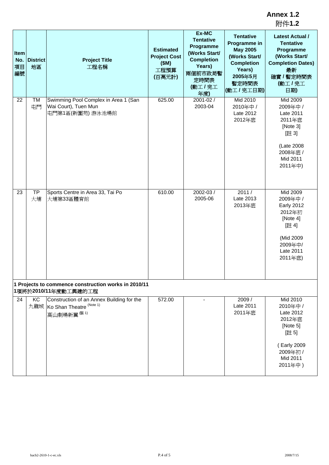| <b>Item</b><br>No.<br>項目<br>編號 | <b>District</b><br>地區 | <b>Project Title</b><br>工程名稱                                                                       | <b>Estimated</b><br><b>Project Cost</b><br>(SM)<br>工程預算<br>(百萬元計) | Ex-MC<br><b>Tentative</b><br>Programme<br>(Works Start/<br><b>Completion</b><br>Years)<br>兩個前市政局暫<br>定時間表<br>(動工/完工<br>年度) | <b>Tentative</b><br>Programme in<br><b>May 2005</b><br>(Works Start/<br><b>Completion</b><br>Years)<br>2005年5月<br>暫定時間表<br>(動工/完工日期) | <b>Latest Actual /</b><br><b>Tentative</b><br>Programme<br>(Works Start/<br><b>Completion Dates)</b><br>最新<br>確實 / 暫定時間表<br>(動工/完工<br>日期) |
|--------------------------------|-----------------------|----------------------------------------------------------------------------------------------------|-------------------------------------------------------------------|----------------------------------------------------------------------------------------------------------------------------|--------------------------------------------------------------------------------------------------------------------------------------|-------------------------------------------------------------------------------------------------------------------------------------------|
| 22                             | TM<br>屯門              | Swimming Pool Complex in Area 1 (San<br>Wai Court), Tuen Mun<br>屯門第1區(新圍苑)游泳池場館                    | 625.00                                                            | $2001 - 02/$<br>2003-04                                                                                                    | Mid 2010<br>2010年中 /<br>Late 2012<br>2012年底                                                                                          | Mid 2009<br>2009年中 /<br>Late 2011<br>2011年底<br>[Note 3]<br>[註 3]<br>(Late 2008<br>2008年底 /<br>Mid 2011<br>2011年中)                         |
| 23                             | <b>TP</b><br>大埔       | Sports Centre in Area 33, Tai Po<br>大埔第33區體育館                                                      | 610.00                                                            | 2002-03 /<br>2005-06                                                                                                       | 2011/<br>Late 2013<br>2013年底                                                                                                         | Mid 2009<br>2009年中 /<br><b>Early 2012</b><br>2012年初<br>[Note 4]<br>[註4]<br>(Mid 2009<br>2009年中/<br>Late 2011<br>2011年底)                   |
|                                |                       | 1 Projects to commence construction works in 2010/11<br>1項將於2010/11年度動工興建的工程                       |                                                                   |                                                                                                                            |                                                                                                                                      |                                                                                                                                           |
| 24                             | KC                    | Construction of an Annex Building for the<br>九龍城 Ko Shan Theatre <sup>(Note 1)</sup><br>高山劇場新翼(註1) | 572.00                                                            |                                                                                                                            | 2009/<br>Late 2011<br>2011年底                                                                                                         | Mid 2010<br>2010年中 /<br>Late 2012<br>2012年底<br>[Note 5]<br>[註5]<br>(Early 2009<br>2009年初 /<br>Mid 2011<br>2011年中)                         |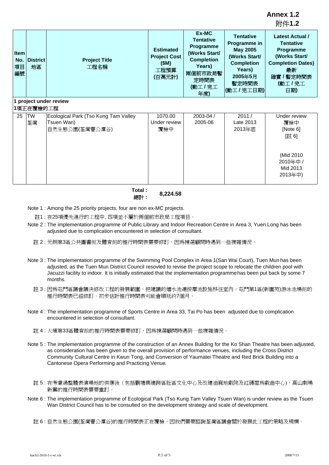| <b>Item</b><br>No.<br>項目<br>編號 | <b>District</b><br>地區 | <b>Project Title</b><br>工程名稱                       | <b>Estimated</b><br><b>Project Cost</b><br>(SM)<br>工程預算<br>(百萬元計) | Ex-MC<br><b>Tentative</b><br>Programme<br>(Works Start/<br><b>Completion</b><br>Years)<br>兩個前市政局暫<br>定時間表<br>(動工/完工<br>年度) | <b>Tentative</b><br>Programme in<br><b>May 2005</b><br>(Works Start/<br><b>Completion</b><br>Years)<br>2005年5月<br>暫定時間表<br>(動工/完工日期) | <b>Latest Actual /</b><br><b>Tentative</b><br>Programme<br>(Works Start/<br><b>Completion Dates)</b><br>最新<br>確實 / 暫定時間表<br>(動工/完工<br>日期) |
|--------------------------------|-----------------------|----------------------------------------------------|-------------------------------------------------------------------|----------------------------------------------------------------------------------------------------------------------------|--------------------------------------------------------------------------------------------------------------------------------------|-------------------------------------------------------------------------------------------------------------------------------------------|
|                                |                       | 1 project under review                             |                                                                   |                                                                                                                            |                                                                                                                                      |                                                                                                                                           |
|                                | 1項正在覆檢的工程             |                                                    |                                                                   |                                                                                                                            |                                                                                                                                      |                                                                                                                                           |
| 25                             | TW                    | Ecological Park (Tso Kung Tam Valley<br>Tsuen Wan) | 1070.00<br>Under review                                           | 2003-04 /<br>2005-06                                                                                                       | 2011/<br>Late 2013                                                                                                                   | Under review                                                                                                                              |
|                                | 荃灣                    | 自然生態公園(荃灣曹公潭谷)                                     | 覆檢中                                                               |                                                                                                                            | 2013年底                                                                                                                               | 覆檢中<br>[Note 6]                                                                                                                           |
|                                |                       |                                                    |                                                                   |                                                                                                                            |                                                                                                                                      | [註6]                                                                                                                                      |
|                                |                       |                                                    |                                                                   |                                                                                                                            |                                                                                                                                      | (Mid 2010)<br>2010年中 /                                                                                                                    |
|                                |                       |                                                    |                                                                   |                                                                                                                            |                                                                                                                                      | Mid 2013<br>2013年中)                                                                                                                       |

**Total :** 總計 **: 8,224.58**

- Note 1 : Among the 25 priority projects, four are non ex-MC projects.
	- 註1 : 在25項優先進行的工程中, 四項並不屬於兩個前市政局工程項目。
- Note 2 : The implementation programme of Public Library and Indoor Recreation Centre in Area 3, Yuen Long has been adjusted due to complication encountered in selection of consultant.
	- 註 2 : 元朗第3區公共圖書館及體育館的推行時間表需要修訂,因爲揀選顧問時遇到一些複雜情況。
- Note 3 : The implementation programme of the Swimming Pool Complex in Area 1(San Wai Court), Tuen Mun has been adjusted, as the Tuen Mun District Council resovled to revise the project scope to relocate the children pool with Jacuzzi facility to indoor. It is initially estimated that the implementation programme has been put back by some 7 months.
	- 註 3 : 因爲屯門區議會議決修改工程的發展範圍,把建議的嬉水池連按摩池設施移往室內,屯門第1區(新圍苑)游泳池場館的 推行時間表已經修訂。初步估計推行時間表可能會順延約7個月。
- Note 4 : The implementation programme of Sports Centre in Area 33, Tai Po has been adjusted due to complication encountered in selection of consultant.
	- 註 4 : 大埔第33區體育館的推行時間表需要修訂,因爲揀選顧問時遇到一些複雜情況。
- Note 5 : The implementation programme of the construction of an Annex Building for the Ko Shan Theatre has been adjusted, as consideration has been given to the overall provision of performance venues, including the Cross District Community Cultural Centre in Kwun Tong, and Conversion of Yaumatei Theatre and Red Brick Building into a Cantonese Opera Performing and Practicing Venue.
	- 註 5 : 在考慮過整體表演場地的供應後(包括觀塘興建跨區社區文化中心及改建油麻地戲院及紅磚屋爲戲曲中心),高山劇場 新翼的推行時間表需要重訂。
- Note 6 : The implementation programme of Ecological Park (Tso Kung Tam Valley Tsuen Wan) is under review as the Tsuen Wan District Council has to be consulted on the development strategy and scale of development.

註 6 : 自然生態公園(荃灣曹公潭谷)的推行時間表正在覆檢,因我們需要諮詢荃灣區議會關於發展此工程的策略及規模。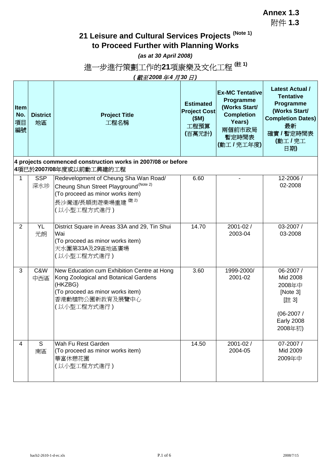**Annex 1.3** 附件 **1.3**

h

## **21 Leisure and Cultural Services Projects (Note 1) to Proceed Further with Planning Works**

*(as at 30 April 2008)*

# 進一步進行策劃工作的21項康樂及文化工程<sup>(註1)</sup>

*(截至2008年4月30日)*

| Item<br>No.<br>項目<br>編號 | <b>District</b><br>地區 | <b>Project Title</b><br>工程名稱                                                                                                                                                   | <b>Estimated</b><br><b>Project Cost</b><br>(SM)<br>工程預算<br>(百萬元計) | <b>Ex-MC Tentative</b><br>Programme<br>(Works Start/<br><b>Completion</b><br>Years)<br>兩個前市政局<br>暫定時間表<br>(動工/完工年度) | <b>Latest Actual /</b><br><b>Tentative</b><br>Programme<br>(Works Start/<br><b>Completion Dates)</b><br>最新<br>確實 / 暫定時間表<br>(動工/完工<br>日期) |
|-------------------------|-----------------------|--------------------------------------------------------------------------------------------------------------------------------------------------------------------------------|-------------------------------------------------------------------|---------------------------------------------------------------------------------------------------------------------|-------------------------------------------------------------------------------------------------------------------------------------------|
|                         |                       | 4 projects commenced construction works in 2007/08 or before<br>4項已於2007/08年度或以前動工興建的工程                                                                                        |                                                                   |                                                                                                                     |                                                                                                                                           |
| $\mathbf{1}$            | <b>SSP</b><br>深水埗     | Redevelopment of Cheung Sha Wan Road/<br>Cheung Shun Street Playground <sup>(Note 2)</sup><br>(To proceed as minor works item)<br>長沙灣道/長順街遊樂場重建 <sup>(註2)</sup><br>(以小型工程方式進行) | 6.60                                                              |                                                                                                                     | 12-2006 /<br>02-2008                                                                                                                      |
| $\overline{2}$          | <b>YL</b><br>元朗       | District Square in Areas 33A and 29, Tin Shui<br>Wai<br>(To proceed as minor works item)<br>天水圍第33A及29區地區廣場<br>(以小型工程方式進行)                                                     | 14.70                                                             | 2001-02 /<br>2003-04                                                                                                | 03-2007 /<br>03-2008                                                                                                                      |
| 3                       | C&W<br>中西區            | New Education cum Exhibition Centre at Hong<br>Kong Zoological and Botanical Gardens<br>(HKZBG)<br>(To proceed as minor works item)<br>香港動植物公園新教育及展覽中心<br>(以小型工程方式進行)          | 3.60                                                              | 1999-2000/<br>2001-02                                                                                               | 06-2007 /<br>Mid 2008<br>2008年中<br>[Note 3]<br>[註 3]<br>$(06-2007/$<br><b>Early 2008</b><br>2008年初)                                       |
| 4                       | S<br>南區               | Wah Fu Rest Garden<br>(To proceed as minor works item)<br>華富休憩花園<br>(以小型工程方式進行)                                                                                                | 14.50                                                             | 2001-02 /<br>2004-05                                                                                                | 07-2007 /<br>Mid 2009<br>2009年中                                                                                                           |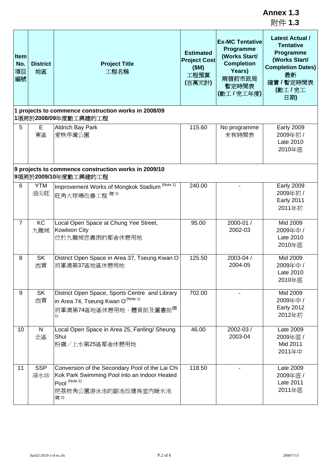|                                                                              |                       |                                                                                                                                                  |                                                                   |                                                                                                                     | Annex 1.3<br>附件 1.3                                                                                                                       |  |  |
|------------------------------------------------------------------------------|-----------------------|--------------------------------------------------------------------------------------------------------------------------------------------------|-------------------------------------------------------------------|---------------------------------------------------------------------------------------------------------------------|-------------------------------------------------------------------------------------------------------------------------------------------|--|--|
| Item<br>No.<br>項目<br>編號                                                      | <b>District</b><br>地區 | <b>Project Title</b><br>工程名稱                                                                                                                     | <b>Estimated</b><br><b>Project Cost</b><br>(SM)<br>工程預算<br>(百萬元計) | <b>Ex-MC Tentative</b><br>Programme<br>(Works Start/<br><b>Completion</b><br>Years)<br>兩個前市政局<br>暫定時間表<br>(動工/完工年度) | <b>Latest Actual /</b><br><b>Tentative</b><br>Programme<br>(Works Start/<br><b>Completion Dates)</b><br>最新<br>確實 / 暫定時間表<br>(動工/完工<br>日期) |  |  |
|                                                                              |                       | 1 projects to commence construction works in 2008/09<br>1項將於2008/09年度動工興建的工程                                                                     |                                                                   |                                                                                                                     |                                                                                                                                           |  |  |
| 5                                                                            | Е<br>東區               | <b>Aldrich Bay Park</b><br>愛秩序灣公園                                                                                                                | 115.60                                                            | No programme<br>未有時間表                                                                                               | <b>Early 2009</b><br>2009年初 /<br>Late 2010<br>2010年底                                                                                      |  |  |
| 9 projects to commence construction works in 2009/10<br>9項將於2009/10年度動工興建的工程 |                       |                                                                                                                                                  |                                                                   |                                                                                                                     |                                                                                                                                           |  |  |
| 6                                                                            | <b>YTM</b><br>油尖旺     | Improvement Works of Mongkok Stadium (Note 1)<br>旺角大球場改善工程 <sup>(註1)</sup>                                                                       | 240.00                                                            |                                                                                                                     | <b>Early 2009</b><br>2009年初 /<br><b>Early 2011</b><br>2011年初                                                                              |  |  |
| $\overline{7}$                                                               | KC<br>九龍城             | Local Open Space at Chung Yee Street,<br>Kowloon City<br>位於九龍城忠義街的鄰舍休憩用地                                                                         | 95.00                                                             | 2000-01 /<br>2002-03                                                                                                | Mid 2009<br>2009年中 /<br>Late 2010<br>2010年底                                                                                               |  |  |
| 8                                                                            | <b>SK</b><br>西貢       | District Open Space in Area 37, Tseung Kwan O<br>將軍澳第37區地區休憩用地                                                                                   | 125.50                                                            | 2003-04 /<br>2004-05                                                                                                | Mid 2009<br>2009年中 /<br>Late 2010<br>2010年底                                                                                               |  |  |
| 9                                                                            | <b>SK</b><br>西貢       | District Open Space, Sports Centre and Library<br>in Area 74, Tseung Kwan O (Note 1)<br>將軍澳第74區地區休憩用地、體育館及圖書館 <sup>(註</sup><br>1)                | 702.00                                                            |                                                                                                                     | Mid 2009<br>2009年中 /<br><b>Early 2012</b><br>2012年初                                                                                       |  |  |
| 10                                                                           | N<br>北區               | Local Open Space in Area 25, Fanling/ Sheung<br>Shui<br>粉嶺/上水第25區鄰舍休憩用地                                                                          | 46.00                                                             | 2002-03 /<br>2003-04                                                                                                | Late 2009<br>2009年底 /<br>Mid 2011<br>2011年中                                                                                               |  |  |
| 11                                                                           | <b>SSP</b><br>深水埗     | Conversion of the Secondary Pool of the Lai Chi<br>Kok Park Swimming Pool into an Indoor Heated<br>Pool (Note 2)<br>把荔枝角公園游泳池的副池改建爲室內暖水池<br>(註2) | 118.50                                                            |                                                                                                                     | Late 2009<br>2009年底 /<br>Late 2011<br>2011年底                                                                                              |  |  |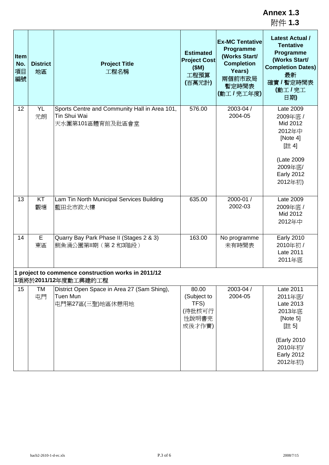| Item<br>No.<br>項目<br>編號 | <b>District</b><br>地區 | <b>Project Title</b><br>工程名稱                                                                                       | <b>Estimated</b><br><b>Project Cost</b><br>(SM)<br>工程預算<br>(百萬元計) | <b>Ex-MC Tentative</b><br><b>Programme</b><br>(Works Start/<br><b>Completion</b><br>Years)<br>兩個前市政局<br>暫定時間表<br>(動工/完工年度) | <b>Latest Actual /</b><br><b>Tentative</b><br>Programme<br>(Works Start/<br><b>Completion Dates)</b><br>最新<br>確實 / 暫定時間表<br>(動工/完工<br>日期) |
|-------------------------|-----------------------|--------------------------------------------------------------------------------------------------------------------|-------------------------------------------------------------------|----------------------------------------------------------------------------------------------------------------------------|-------------------------------------------------------------------------------------------------------------------------------------------|
| 12                      | <b>YL</b><br>元朗       | Sports Centre and Community Hall in Area 101,<br>Tin Shui Wai<br>天水圍第101區體育館及社區會堂                                  | 576.00                                                            | 2003-04 /<br>2004-05                                                                                                       | Late 2009<br>2009年底 /<br>Mid 2012<br>2012年中<br>[Note 4]<br>[註4]<br>(Late 2009<br>2009年底/<br><b>Early 2012</b><br>2012年初)                  |
| 13                      | KT<br>觀塘              | Lam Tin North Municipal Services Building<br>藍田北市政大樓                                                               | 635.00                                                            | 2000-01 /<br>2002-03                                                                                                       | Late 2009<br>2009年底 /<br>Mid 2012<br>2012年中                                                                                               |
| 14                      | E<br>東區               | Quarry Bay Park Phase II (Stages 2 & 3)<br>鰂魚涌公園第Ⅱ期(第2和3階段)<br>1 project to commence construction works in 2011/12 | 163.00                                                            | No programme<br>未有時間表                                                                                                      | <b>Early 2010</b><br>2010年初 /<br>Late 2011<br>2011年底                                                                                      |
| 15                      | TM<br>屯門              | 1項將於2011/12年度動工興建的工程<br>District Open Space in Area 27 (Sam Shing),<br>Tuen Mun<br>屯門第27區(三聖)地區休憩用地                | 80.00<br>(Subject to<br>TFS)<br>(待批核可行<br>性說明書完<br>成後才作實)         | 2003-04 /<br>2004-05                                                                                                       | Late 2011<br>2011年底/<br>Late 2013<br>2013年底<br>[Note 5]<br>[註5]<br>(Early 2010<br>2010年初/<br><b>Early 2012</b><br>2012年初)                 |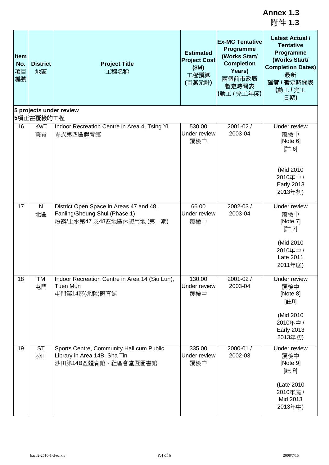|                         |                       |                                                                                                       |                                                                   |                                                                                                                     | Annex 1.3<br>附件 1.3                                                                                                                       |
|-------------------------|-----------------------|-------------------------------------------------------------------------------------------------------|-------------------------------------------------------------------|---------------------------------------------------------------------------------------------------------------------|-------------------------------------------------------------------------------------------------------------------------------------------|
| Item<br>No.<br>項目<br>編號 | <b>District</b><br>地區 | <b>Project Title</b><br>工程名稱                                                                          | <b>Estimated</b><br><b>Project Cost</b><br>(SM)<br>工程預算<br>(百萬元計) | <b>Ex-MC Tentative</b><br>Programme<br>(Works Start/<br><b>Completion</b><br>Years)<br>兩個前市政局<br>暫定時間表<br>(動工/完工年度) | <b>Latest Actual /</b><br><b>Tentative</b><br>Programme<br>(Works Start/<br><b>Completion Dates)</b><br>最新<br>確實 / 暫定時間表<br>(動工/完工<br>日期) |
|                         | 5項正在覆檢的工程             | 5 projects under review                                                                               |                                                                   |                                                                                                                     |                                                                                                                                           |
| 16                      | KwT<br>葵青             | Indoor Recreation Centre in Area 4, Tsing Yi<br>青衣第四區體育館                                              | 530.00<br>Under review<br>覆檢中                                     | 2001-02 /<br>2003-04                                                                                                | Under review<br>覆檢中<br>[Note 6]<br>[註6]                                                                                                   |
|                         |                       |                                                                                                       |                                                                   |                                                                                                                     | (Mid 2010<br>2010年中 /<br><b>Early 2013</b><br>2013年初)                                                                                     |
| 17                      | $\mathsf{N}$<br>北區    | District Open Space in Areas 47 and 48,<br>Fanling/Sheung Shui (Phase 1)<br>粉嶺/上水第47 及48區地區休憩用地 (第一期) | 66.00<br>Under review<br>覆檢中                                      | 2002-03 /<br>2003-04                                                                                                | Under review<br>覆檢中<br>[Note 7]<br>[註7]                                                                                                   |
|                         |                       |                                                                                                       |                                                                   |                                                                                                                     | (Mid 2010<br>2010年中 /<br>Late 2011<br>2011年底)                                                                                             |
| 18                      | <b>TM</b><br>屯門       | Indoor Recreation Centre in Area 14 (Siu Lun),<br>Tuen Mun<br>屯門第14區(兆麟)體育館                           | 130.00<br>Under review<br>覆檢中                                     | 2001-02 /<br>2003-04                                                                                                | Under review<br>覆檢中<br>[Note 8]<br>[註8]                                                                                                   |
|                         |                       |                                                                                                       |                                                                   |                                                                                                                     | (Mid 2010<br>2010年中 /<br><b>Early 2013</b><br>2013年初)                                                                                     |
| 19                      | <b>ST</b><br>沙田       | Sports Centre, Community Hall cum Public<br>Library in Area 14B, Sha Tin<br>沙田第14B區體育館、社區會堂暨圖書館       | 335.00<br>Under review<br>覆檢中                                     | 2000-01 /<br>2002-03                                                                                                | Under review<br>覆檢中<br>[Note 9]<br>[註9]                                                                                                   |
|                         |                       |                                                                                                       |                                                                   |                                                                                                                     | (Late 2010<br>2010年底 /<br>Mid 2013<br>2013年中)                                                                                             |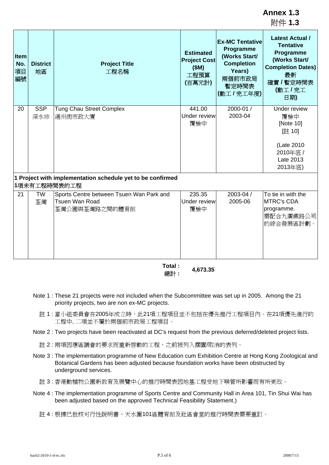|                         |                       |                                                                              |                                                                   |                                                                                                                     | 附件 1.3                                                                                                                                    |
|-------------------------|-----------------------|------------------------------------------------------------------------------|-------------------------------------------------------------------|---------------------------------------------------------------------------------------------------------------------|-------------------------------------------------------------------------------------------------------------------------------------------|
| Item<br>No.<br>項目<br>編號 | <b>District</b><br>地區 | <b>Project Title</b><br>工程名稱                                                 | <b>Estimated</b><br><b>Project Cost</b><br>(SM)<br>工程預算<br>(百萬元計) | <b>Ex-MC Tentative</b><br>Programme<br>(Works Start/<br><b>Completion</b><br>Years)<br>兩個前市政局<br>暫定時間表<br>(動工/完工年度) | <b>Latest Actual /</b><br><b>Tentative</b><br>Programme<br>(Works Start/<br><b>Completion Dates)</b><br>最新<br>確實 / 暫定時間表<br>(動工/完工<br>日期) |
| 20                      | <b>SSP</b><br>深水埗     | <b>Tung Chau Street Complex</b><br>通州街市政大廈                                   | 441.00<br>Under review<br>覆檢中                                     | 2000-01 /<br>2003-04                                                                                                | Under review<br>覆檢中<br>[Note 10]<br>[註 10]<br>(Late 2010<br>2010年底 /<br>Late 2013<br>2013年底)                                              |
|                         |                       | 1 Project with implementation schedule yet to be confirmed<br>1項未有工程時間表的工程   |                                                                   |                                                                                                                     |                                                                                                                                           |
| 21                      | <b>TW</b><br>荃灣       | Sports Centre between Tsuen Wan Park and<br>Tsuen Wan Road<br>荃灣公園與荃灣路之間的體育館 | 235.35<br>Under review<br>覆檢中                                     | 2003-04 /<br>2005-06                                                                                                | To tie in with the<br><b>MTRC's CDA</b><br>programme.<br>需配合九廣鐵路公司<br>的綜合發展區計劃。                                                           |

**Total :** 總計 **: 4,673.35**

- Note 1 : These 21 projects were not included when the Subcommittee was set up in 2005. Among the 21 priority projects, two are non ex-MC projects.
	- 註 1 : 當小組委員會在2005年成立時,此21項工程項目並不包括在優先推行工程項目內。在21項優先進行的 工程中, 二項並不屬於兩個前市政局工程項目。
- Note 2 : Two projects have been reactivated at DC's request from the previous deferred/deleted project lists.
	- 註 2 : 兩項因應區議會的要求而重新啓動的工程,之前被列入擱置/取消的表列。
- Note 3 : The implementation programme of New Education cum Exhibition Centre at Hong Kong Zoological and Botanical Gardens has been adjusted because foundation works have been obstructed by underground services.
	- 註 3 : 香港動植物公園新教育及展覽中心的推行時間表因地基工程受地下喉管所影響而有所更改。
- Note 4 : The implementation programme of Sports Centre and Community Hall in Area 101, Tin Shui Wai has been adjusted based on the approved Technical Feasibility Statement.)
	- 註 4 : 根據已批核可行性說明書,天水圍101區體育館及社區會堂的推行時間表需要重訂。

**Annex 1.3**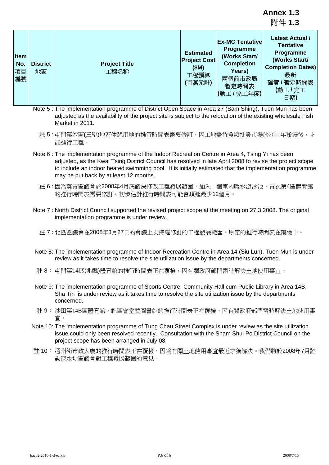附件 **1.3 Item No.** 項目 編號 **District** 地區 **Project Title** 工程名稱 **Estimated Project Cost (\$M)** 工程預算 **(**百萬元計**) Ex-MC Tentative Programme (Works Start/ Completion Years)** 兩個前市政局 暫定時間表 **(**動工 **/** 完工年度**) Latest Actual / Tentative Programme (Works Start/ Completion Dates)** 最新 確實 **/** 暫定時間表 **(**動工 **/** 完工 日期**)**

- Note 5 : The implementation programme of District Open Space in Area 27 (Sam Shing), Tuen Mun has been adjusted as the availability of the project site is subject to the relocation of the existing wholesale Fish Market in 2011.
	- 註 5 : 屯門第27區(三聖)地區休憩用地的推行時間表需要修訂,因工地需待魚類批發市場於2011年搬遷後,才 能進行工程。
- Note 6 : The implementation programme of the Indoor Recreation Centre in Area 4, Tsing Yi has been adjusted, as the Kwai Tsing District Council has resolved in late April 2008 to revise the project scope to include an indoor heated swimming pool. It is initially estimated that the implementation programme may be put back by at least 12 months.
	- 註 6 : 因爲葵青區議會於2008年4月底議決修改工程發展範圍,加入一個室內暖水游泳池,青衣第4區體育館 的推行時間表需要修訂。初步估計推行時間表可能會順延最少12個月。
- Note 7 : North District Council supported the revised project scope at the meeting on 27.3.2008. The original implementation programme is under review.
	- 註 7 : 北區區議會在2008年3月27日的會議上支持經修訂的工程發展範圍。原定的推行時間表在覆檢中。
- Note 8: The implementation programme of Indoor Recreation Centre in Area 14 (Siu Lun), Tuen Mun is under review as it takes time to resolve the site utilization issue by the departments concerned.
- 註 8: 屯門第14區(兆麟)體育館的推行時間表正在覆檢,因有關政府部門需時解決土地使用事宜。
- Note 9: The implementation programme of Sports Centre, Community Hall cum Public Library in Area 14B, Sha Tin is under review as it takes time to resolve the site utilization issue by the departments concerned.
- 註 9: 沙田第14B區體育館、社區會堂暨圖書館的推行時間表正在覆檢,因有關政府部門需時解決土地使用事 宜。
- Note 10: The implementation programme of Tung Chau Street Complex is under review as the site utilization issue could only been resolved recently. Consultation with the Sham Shui Po District Council on the project scope has been arranged in July 08.
- 註 10: 通州街市政大廈的推行時間表正在覆檢,因爲有關土地使用事宜最近才獲解決。我們將於2008年7月諮 詢深水埗區議會對工程發展範圍的意見。

**Annex 1.3**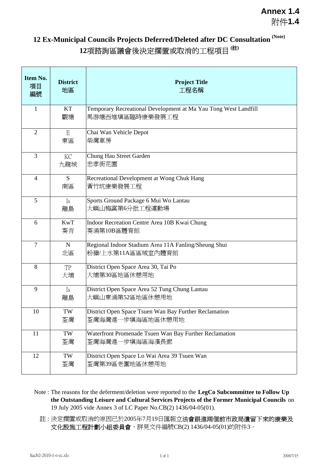# **12 Ex-Municipal Councils Projects Deferred/Deleted after DC Consultation (Note) 12**項諮詢區議會後決定擱置或取消的工程項目 **(**註**)**

| Item No.<br>項目<br>編號 | <b>District</b><br>地區 | <b>Project Title</b><br>工程名稱                                                       |
|----------------------|-----------------------|------------------------------------------------------------------------------------|
| $\mathbf{1}$         | KT<br>觀塘              | Temporary Recreational Development at Ma Yau Tong West Landfill<br>馬游塘西堆填區臨時康樂發展工程 |
| $\overline{2}$       | E<br>東區               | Chai Wan Vehicle Depot<br>柴灣車房                                                     |
| 3                    | <b>KC</b><br>九龍城      | Chung Hau Street Garden<br>忠孝街花園                                                   |
| $\overline{4}$       | S<br>南區               | Recreational Development at Wong Chuk Hang<br>黃竹坑康樂發展工程                            |
| 5                    | Is<br>離島              | Sports Ground Package 6 Mui Wo Lantau<br>大嶼山梅窩第6分批工程運動場                            |
| 6                    | <b>KwT</b><br>葵青      | Indoor Recreation Centre Area 10B Kwai Chung<br>葵涌第10B區體育館                         |
| $\overline{7}$       | ${\bf N}$<br>北區       | Regional Indoor Stadium Area 11A Fanling/Sheung Shui<br>粉嶺/上水第11A區區域室內體育館          |
| 8                    | TP<br>大埔              | District Open Space Area 30, Tai Po<br>大埔第30區地區休憩用地                                |
| 9                    | Is<br>離島              | District Open Space Area 52 Tung Chung Lantau<br>大嶼山東涌第52區地區休憩用地                   |
| 10                   | TW<br>荃灣              | District Open Space Tsuen Wan Bay Further Reclamation<br>荃灣海灣進一步填海區地區休憩用地          |
| 11                   | TW<br>荃灣              | Waterfront Promenade Tsuen Wan Bay Further Reclamation<br>荃灣海灣進一步填海區海濱長廊           |
| 12                   | TW<br>荃灣              | District Open Space Lo Wai Area 39 Tsuen Wan<br>荃灣第39區老圍地區休憩用地                     |

- Note : The reasons for the deferment/deletion were reported to the **LegCo Subcommittee to Follow Up the Outstanding Leisure and Cultural Services Projects of the Former Municipal Councils** on 19 July 2005 vide Annex 3 of LC Paper No.CB(2) 1436/04-05(01).
	- 註:決定擱置或取消的原因已於2005年7月19日匯報**立法會跟進兩個前市政局遺留下來的康樂及** 文化設施工程計劃小組委員會,詳見文件編號CB(2) 1436/04-05(01)的附件3。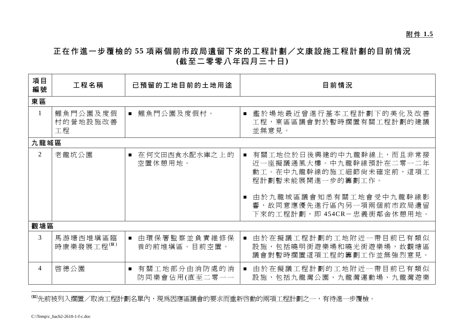## 正在作進一步覆檢的 **55** 項兩個前市政局遺留下來的工程計劃/文康設施工程計劃的目前情況 **(**截至二零零八年四月三十日**)**

| 項目<br>編號       | 工程名稱                       | 已預留的工地目前的土地用途                                   | 目前情況                                                                                                                                                                                 |
|----------------|----------------------------|-------------------------------------------------|--------------------------------------------------------------------------------------------------------------------------------------------------------------------------------------|
| 東區             |                            |                                                 |                                                                                                                                                                                      |
| $\mathbf{1}$   | 鯉魚門公園及度假<br>村的營地設施改善<br>工程 | 鯉魚門公園及度假村。<br>$\blacksquare$                    | 鑑於場地最近曾進行基本工程計劃下的美化及改善<br>$\blacksquare$<br>工程,東區區議會對於暫時擱置有關工程計劃的建議<br>並無意見。                                                                                                         |
| 九龍城區           |                            |                                                 |                                                                                                                                                                                      |
| $\overline{2}$ | 老龍坑公園                      | 在何文田西食水配水庫之上的<br>$\blacksquare$<br>空置休憩用地。      | 有關工地位於日後興建的中九龍幹線上,而且非常接<br>近一座擬議通風大樓。中九龍幹線預計在二零一二年<br>動工。在中九龍幹線的施工細節尙未確定前,這項工<br>程計劃暫未能展開進一步的籌劃工作。<br>由於九龍城區議會知悉有關工地會受中九龍幹線影<br>響,故同意應優先進行區內另一項兩個前市政局遺留<br>下來的工程計劃,即454CR-忠義街鄰舍休憩用地。 |
| 觀塘區            |                            |                                                 |                                                                                                                                                                                      |
| 3              | 馬游塘西堆填區臨<br>時康樂發展工程(#)     | 由環保署監察並負責維修保<br>$\blacksquare$<br>養的前堆填區。目前空置。  | 由於在擬議工程計劃的工地附近一帶目前已有類似<br>設施,包括曉明街遊樂場和曉光街遊樂場,故觀塘區<br>議會對暫時擱置這項工程的籌劃工作並無強烈意見。                                                                                                         |
| 4              | 啓德公園                       | 有關工地部分由消防處的消<br>$\blacksquare$<br>防同樂會佔用(直至二零一一 | 由於在擬議工程計劃的工地附近一帶目前已有類似<br>設施,包括九龍灣公園、九龍灣運動場、九龍灣遊樂                                                                                                                                    |

(#)先前被列入擱置/取消工程計劃名單內,現為因應區議會的要求而重新啓動的兩項工程計劃之一,有待進一步覆檢。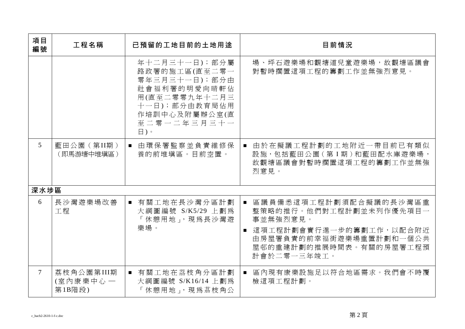| 項目<br>編號       | 工程名稱                             | 已預留的工地目前的土地用途                                                                                                                                              | 目前情況                                                                                                                                                                              |
|----------------|----------------------------------|------------------------------------------------------------------------------------------------------------------------------------------------------------|-----------------------------------------------------------------------------------------------------------------------------------------------------------------------------------|
|                |                                  | 年十二月三十一日);部分屬<br>路政署的施工區(直至二零一<br>零年三月三十一日);部分由<br>社會福利署的明愛向晴軒佔<br>用(直至二零零九年十二月三<br>十一日);部分由教育局佔用<br>作培訓中心及附屬辦公室(直<br>至二零一二年三月三十一<br>$\boxminus$ ) $\circ$ | 場、坪石遊樂場和觀塘道兒童遊樂場,故觀塘區議會<br>對暫時擱置這項工程的籌劃工作並無強烈意見。                                                                                                                                  |
| 5 <sup>5</sup> | 藍田公園(第II期)<br>(即馬游塘中堆塡區)         | 由環保署監察並負責維修保<br>養的前堆填區。目前空置。                                                                                                                               | 由於在擬議工程計劃的工地附近一帶目前已有類似<br>設施, 包括藍田公園 ( 第 I 期 ) 和藍田配水庫遊樂場,<br>故觀塘區議會對暫時擱置這項工程的籌劃工作並無強<br>烈意見。                                                                                      |
| 深水埗區           |                                  |                                                                                                                                                            |                                                                                                                                                                                   |
| 6              | 長沙灣遊樂場改善<br>工程                   | ■ 有關工地在長沙灣分區計劃<br>大綱圖編號 S/K5/29 上劃為<br>「休憩用地」,現為長沙灣遊<br>樂場。                                                                                                | 區議員備悉這項工程計劃須配合擬議的長沙灣區重<br>$\blacksquare$<br>整策略的推行。他們對工程計劃並未列作優先項目一<br>事並無強烈意見。<br>■ 這項工程計劃會實行進一步的籌劃工作,以配合附近<br>由房屋署負責的前幸福街遊樂場重置計劃和一個公共<br>屋邨的重建計劃的推展時間表。有關的房屋署工程預<br>計會於二零一三年竣工。 |
| $\tau$         | 荔枝角公園第III期<br>(室內康樂中心-<br>第1B階段) | ■ 有關工地在茘枝角分區計劃<br>大綱圖編號 S/K16/14 上劃為<br>「休憩用地」,現為荔枝角公                                                                                                      | 區內現有康樂設施足以符合地區需求。我們會不時覆<br>檢這項工程計劃。                                                                                                                                               |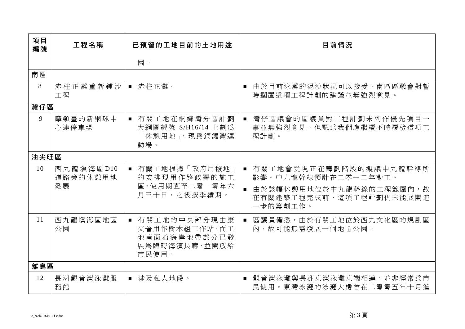| 項目<br>編號 | 工程名稱                        | 已預留的工地目前的土地用途                                                             | 目前情況                                                                                                              |
|----------|-----------------------------|---------------------------------------------------------------------------|-------------------------------------------------------------------------------------------------------------------|
|          |                             | 園。                                                                        |                                                                                                                   |
| 南區       |                             |                                                                           |                                                                                                                   |
| 8        | 赤柱正灘重新鋪沙<br>工程              | ■ 赤柱正灘。                                                                   | 由於目前泳灘的泥沙狀況可以接受,南區區議會對暫<br>時擱置這項工程計劃的建議並無強烈意見。                                                                    |
| 灣仔區      |                             |                                                                           |                                                                                                                   |
| 9        | 摩頓臺的新網球中<br>心連停車場           | ■ 有關工地在銅鑼灣分區計劃<br>大綱圖編號 S/H16/14 上劃為<br>「休憩用地」,現為銅鑼灣運<br>動場。              | 灣仔區議會的區議員對工程計劃未列作優先項目一<br>事並無強烈意見,但認爲我們應繼續不時覆檢這項工<br>程計劃。                                                         |
| 油尖旺區     |                             |                                                                           |                                                                                                                   |
| 10       | 西九龍填海區D10<br>道路旁的休憩用地<br>發展 | ■ 有關工地根據「政府用撥地」<br>的安排現用作路政署的施工<br>區,使用期直至二零一零年六<br>月三十日,之後按季續期。          | ■ 有關工地會受現正在籌劃階段的擬議中九龍幹線所<br>影響。中九龍幹線預計在二零一二年動工。<br>由於該幅休憩用地位於中九龍幹線的工程範圍內,故<br>在有關建築工程完成前,這項工程計劃仍未能展開進<br>一步的籌劃工作。 |
| 11       | 西九龍填海區地區<br>公園              | ■ 有關工地的中央部分現由康<br>文署用作樹木組工作站,而工<br>地南面沿海岸地帶部分已發<br>展為臨時海濱長廊,並開放給<br>市民使用。 | 區議員備悉,由於有關工地位於西九文化區的規劃區<br>內,故可能無需發展一個地區公園。                                                                       |
| 離島區      |                             |                                                                           |                                                                                                                   |
| 12       | 長洲觀音灣泳灘服<br>務館              | ■ 涉及私人地段。                                                                 | ■ 觀音灣泳灘與長洲東灣泳灘東端相連,並非經常為市<br>民使用。東灣泳灘的泳灘大樓曾在二零零五年十月進                                                              |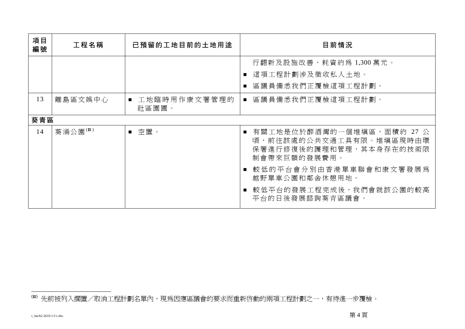| 項目<br>編號 | 工程名稱    | 已預留的工地目前的土地用途         | 目前情況                                                                                              |
|----------|---------|-----------------------|---------------------------------------------------------------------------------------------------|
|          |         |                       | 行翻新及設施改善,耗資約爲 1,300 萬元。<br>■ 這項工程計劃涉及徵收私人土地。                                                      |
|          |         |                       | 區議員備悉我們正覆檢這項工程計劃。                                                                                 |
| 13       | 離島區文娛中心 | 工地臨時用作康文署管理的<br>社區園圃。 | 區議員備悉我們正覆檢這項工程計劃。<br>$\blacksquare$                                                               |
| 葵青區      |         |                       |                                                                                                   |
| 14       | 葵涌公園(#) | ■ 空置。                 | ■ 有關工地是位於醉酒灣的一個堆填區,面積約 27 公<br>頃,前往該處的公共交通工具有限。堆填區現時由環<br>保署進行修復後的護理和管理,其本身存在的技術限<br>制會帶來巨額的發展費用。 |
|          |         |                       | 較低的平台會分別由香港單車聯會和康文署發展爲<br>越野單車公園和鄰舍休憩用地。                                                          |
|          |         |                       | 較低平台的發展工程完成後,我們會就該公園的較高<br>平台的日後發展諮詢葵青區議會。                                                        |

<sup>(#)</sup> 先前被列入擱置/取消工程計劃名單內,現為因應區議會的要求而重新啓動的兩項工程計劃之一,有待進一步覆檢。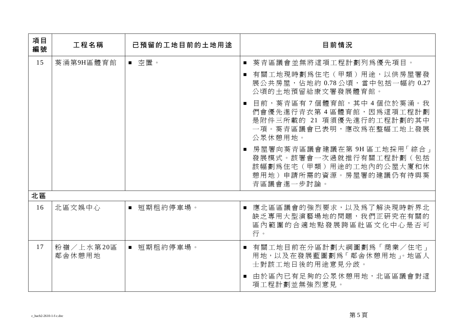| 項目<br>編號 | 工程名稱                | 已預留的工地目前的土地用途              | 目前情況                                                                                                                        |
|----------|---------------------|----------------------------|-----------------------------------------------------------------------------------------------------------------------------|
| 15       | 葵涌第9H區體育館           | ■ 空置。                      | ■ 葵青區議會並無將這項工程計劃列為優先項目。<br>有關工地現時劃為住宅(甲類)用途,以供房屋署發<br>展公共房屋,佔地約 0.78公頃,當中包括一幅約 0.27<br>公頃的十地預留給康文署發展體育館。                    |
|          |                     |                            | 目前,葵青區有 7 個體育館,其中 4 個位於葵涌。我<br>們會優先進行青衣第4區體育館,因為這項工程計劃<br>是附件三所載的 21 項須優先進行的工程計劃的其中<br>一項。葵青區議會已表明,應改爲在整幅工地上發展<br>公眾休憩用地。   |
|          |                     |                            | ■ 房屋署向葵青區議會建議在第 9H 區工地採用「綜合」<br>發展模式。該署會一次過就推行有關工程計劃(包括<br>該幅劃為住宅(甲類)用途的工地內的公屋大廈和休<br>憩用地)申請所需的資源。房屋署的建議仍有待與葵<br>青區議會進一步討論。 |
| 北區       |                     |                            |                                                                                                                             |
| 16       | 北區文娛中心              | 短期租約停車場。<br>$\blacksquare$ | 應北區區議會的強烈要求,以及為了解決現時新界北<br>$\blacksquare$<br>缺乏專用大型演藝場地的問題,我們正研究在有關的<br>區內範圍的合適地點發展跨區社區文化中心是否可<br>行。                        |
| 17       | 粉嶺/上水第20區<br>鄰舍休憩用地 | ■ 短期租約停車場。                 | ■ 有關工地目前在分區計劃大綱圖劃爲「商業/住宅」<br>用地,以及在發展藍圖劃為「鄰舍休憩用地」。地區人<br>士對該工地日後的用途意見分歧。                                                    |
|          |                     |                            | 由於區內已有足夠的公眾休憩用地,北區區議會對這<br>項工程計劃並無強烈意見。                                                                                     |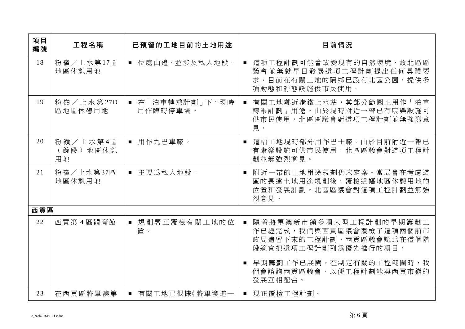| 項目<br>編號 | 工程名稱                       | 已預留的工地目前的土地用途               | 目前情況                                                                                                      |
|----------|----------------------------|-----------------------------|-----------------------------------------------------------------------------------------------------------|
| 18       | 粉嶺/上水第17區<br>地區休憩用地        | ■ 位處山邊,並涉及私人地段。             | ■ 這項工程計劃可能會改變現有的自然環境,故北區區<br>議會並無就早日發展這項工程計劃提出任何具體要<br>求。目前在有關工地的隔鄰已設有北區公園, 提供 <b>多</b><br>項動熊和靜熊設施供市民使用。 |
| 19       | 粉嶺/上水第27D<br>區地區休憩用地       | ■ 在「泊車轉乘計劃」下,現時<br>用作臨時停車場。 | ■ 有關工地鄰近港鐵上水站,其部分範圍正用作「泊車<br>轉乘計劃」用途。由於現時附近一帶已有康樂設施可<br>供市民使用,北區區議會對這項工程計劃並無強烈意<br>見。                     |
| 20       | 粉嶺/上水第4區<br>(餘段)地區休憩<br>用地 | ■ 用作九巴車廠。                   | 這幅工地現時部分用作巴士廠。由於目前附近一帶已<br>$\blacksquare$<br>有康樂設施可供市民使用,北區區議會對這項工程計<br>劃並無強烈意見。                          |
| 21       | 粉嶺/上水第37區<br>地區休憩用地        | ■ 主要為私人地段。                  | 附近一帶的土地用途規劃仍未定案。當局會在考慮這<br>區的長遠土地用途規劃後,覆檢這幅地區休憩用地的<br>位置和發展計劃。北區區議會對這項工程計劃並無強<br>烈意見。                     |
| 西貢區      |                            |                             |                                                                                                           |
| 22       | 西貢第4區體育館                   | ■ 規劃署正覆檢有關工地的位<br>置。        | 隨着將軍澳新市鎭多項大型工程計劃的早期籌劃工<br>作已經完成,我們與西貢區議會覆檢了這項兩個前市<br>政局遺留下來的工程計劃。西貢區議會認爲在這個階<br>段適宜把這項工程計劃列為優先推行的項目。      |
|          |                            |                             | ■ 早期籌劃工作已展開。在制定有關的工程範圍時,我<br>們會諮詢西貢區議會,以便工程計劃能與西貢市鎭的<br>發展互相配合。                                           |
| 23       | 在西貢區將軍澳第                   | ■ 有關工地已根據《將軍澳進一             | ■ 現正覆檢工程計劃。                                                                                               |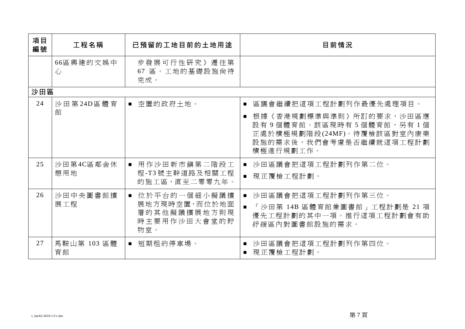| 項目<br>編號 | 工程名稱              | 已預留的工地目前的土地用途                                                                          | 目前情況                                                                                                                                               |
|----------|-------------------|----------------------------------------------------------------------------------------|----------------------------------------------------------------------------------------------------------------------------------------------------|
|          | 66區興建的文娛中<br>心    | 步發展可行性研究》遷往第<br>67 區。工地的基礎設施尙待<br>完成。                                                  |                                                                                                                                                    |
| 沙田區      |                   |                                                                                        |                                                                                                                                                    |
| 24       | 沙田第24D區體育<br>館    | ■ 空置的政府土地。                                                                             | 區議會繼續把這項工程計劃列作最優先處理項目。<br>根據《香港規劃標準與準則》所訂的要求,沙田區應<br>設有9個體育館。該區現時有5個體育館,另有1個<br>正處於積極規劃階段(24MF)。待覆檢該區對室內康樂<br>設施的需求後,我們會考慮是否繼續就這項工程計劃<br>積極進行規劃工作。 |
| 25       | 沙田第4C區鄰舍休<br>憩用地  | ■ 用作沙田新市鎮第二階段工<br>程-T3號主幹道路及相關工程<br>的施工區,直至二零零九年。                                      | 沙田區議會把這項工程計劃列作第二位。<br>■ 現正覆檢工程計劃。                                                                                                                  |
| 26       | 沙田中央圖書館擴<br>展工程   | 位於平台的一個細小擬議擴<br>$\blacksquare$<br>展地方現時空置,而位於地面<br>層的其他擬議擴展地方則現<br>時主要用作沙田大會堂的貯<br>物室。 | ■ 沙田區議會把這項工程計劃列作第三位。<br>「沙田第 14B 區體育館兼圖書館」工程計劃是 21 項<br>優先工程計劃的其中一項。推行這項工程計劃會有助<br>紓緩區內對圖書館設施的需求。                                                  |
| 27       | 馬鞍山第 103 區體<br>育館 | 短期租約停車場。<br>$\mathcal{L}_{\rm{max}}$                                                   | 沙田區議會把這項工程計劃列作第四位。<br>現正覆檢工程計劃。                                                                                                                    |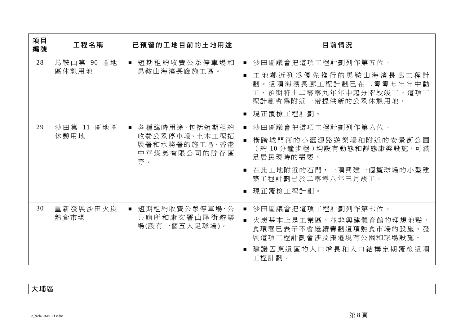| 項目<br>編號 | 工程名稱                          | 已預留的工地目前的土地用途                                                                                      | 目前情況                                                            |
|----------|-------------------------------|----------------------------------------------------------------------------------------------------|-----------------------------------------------------------------|
| 28       | 馬鞍山第 90 區地                    | 短期租約收費公眾停車場和                                                                                       | ■ 沙田區議會把這項工程計劃列作第五位。                                            |
|          | 區休憩用地<br>馬鞍山海濱長廊施工區。          | 工地鄰近列為優先推行的馬鞍山海濱長廊工程計<br>劃。這項海濱長廊工程計劃已在二零零七年年中動<br>工,預期將由二零零九年年中起分階段竣工。這項工<br>程計劃會爲附近一帶提供新的公眾休憩用地。 |                                                                 |
|          |                               |                                                                                                    | 現正覆檢工程計劃。                                                       |
| 29       | 沙田第 11 區地區                    | ■ 各種臨時用途,包括短期租約                                                                                    | ■ 沙田區議會把這項工程計劃列作第六位。                                            |
|          | 休憩用地                          | 收費公眾停車場、土木工程拓<br>展署和水務署的施工區、香港<br>中華煤氣有限公司的貯存區<br>等。                                               | 横跨城門河的小瀝源路遊樂場和附近的安景街公園<br>(約10分鐘步程)均設有動態和靜態康樂設施,可滿<br>足居民現時的需要。 |
|          |                               |                                                                                                    | ■ 在此工地附近的石門,一項興建一個籃球場的小型建<br>築工程計劃已於二零零八年三月竣工。                  |
|          |                               |                                                                                                    | ■ 現正覆檢工程計劃。                                                     |
| 30       | 重新發展沙田火炭                      | 短期租約收費公眾停車場、公<br>$\blacksquare$                                                                    | 沙田區議會把這項工程計劃列作第七位。                                              |
| 熟食市場     | 共廁所和康文署山尾街遊樂<br>場(設有一個五人足球場)。 | ■ 火炭基本上是工業區,並非興建體育館的理想地點。<br>食環署已表示不會繼續籌劃這項熟食市場的設施。發<br>展這項工程計劃會涉及搬遷現有公園和球場設施。                     |                                                                 |
|          |                               |                                                                                                    | 建議因應這區的人口增長和人口結構定期覆檢這項<br>工程計劃。                                 |

## 大埔區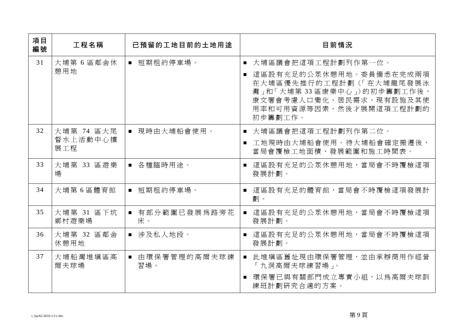| 項目<br>編號 | 工程名稱                          | 已預留的工地目前的土地用途         | 目前情況                                                                                                                                                                     |
|----------|-------------------------------|-----------------------|--------------------------------------------------------------------------------------------------------------------------------------------------------------------------|
| 31       | 大埔第 6 區鄰舍休<br>憩用地             | ■ 短期租約停車場。            | ■ 大埔區議會把這項工程計劃列作第一位。<br>這區設有充足的公眾休憩用地。委員備悉在完成兩項<br>在大埔區優先推行的工程計劃(「在大埔龍尾發展泳<br>灘」和「大埔第33區康樂中心」)的初步籌劃工作後,<br>康文署會考慮人口變化、居民需求、現有設施及其使<br>用率和可用資源等因素,然後才展開這項工程計劃的<br>初步籌劃工作。 |
| 32       | 大埔第 74 區大尾<br>督水上活動中心擴<br>展工程 | ■ 現時由大埔船會使用。          | ■ 大埔區議會把這項工程計劃列作第二位。<br>工地現時由大埔船會使用。待大埔船會確定搬遷後,<br>$\blacksquare$<br>當局會覆檢工地面積、發展範圍和施工時間表。                                                                               |
| 33       | 大埔第 33 區遊樂<br>場               | ■ 各種臨時用途。             | 這區設有充足的公眾休憩用地,當局會不時覆檢這項<br>$\blacksquare$<br>發展計劃。                                                                                                                       |
| 34       | 大埔第6區體育館                      | ■ 短期租約停車場。            | ■ 這區設有充足的體育館,當局會不時覆檢這項發展計<br>劃。                                                                                                                                          |
| 35       | 大埔第 31 區下坑<br>鄉村遊樂場           | ■ 有部分範圍已發展為路旁花<br>床。  | ■ 這區設有充足的公眾休憩用地,當局會不時覆檢這項<br>發展計劃。                                                                                                                                       |
| 36       | 大埔第 32 區鄰舍<br>休憩用地            | ■ 涉及私人地段。             | ■ 這區設有充足的公眾休憩用地,當局會不時覆檢這項<br>發展計劃。                                                                                                                                       |
| 37       | 大埔船灣堆填區高<br>爾夫球場              | ■ 由環保署管理的高爾夫球練<br>習場。 | ■ 此堆填區舊址現由環保署管理,並由承辦商用作經營<br>「九洞高爾夫球練習場」。                                                                                                                                |
|          |                               |                       | ■ 環保署已與有關部門成立專責小組,以為高爾夫球訓<br>練班計劃研究合適的方案。                                                                                                                                |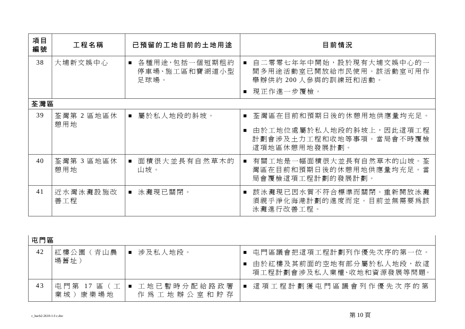| 項目<br>編號 | 工程名稱              | 已預留的工地目前的土地用途                            | 目前情況                                                                                     |
|----------|-------------------|------------------------------------------|------------------------------------------------------------------------------------------|
| 38       | 大埔新文娱中心           | ■ 各種用途,包括一個短期租約<br>停車場、施工區和寶湖道小型<br>足球場。 | 自二零零七年年中開始,設於現有大埔文娛中心的一<br>間多用途活動室已開放給市民使用。該活動室可用作<br>舉辦供約 200 人參與的訓練班和活動。               |
|          |                   |                                          | ■ 現正作進一步覆檢。                                                                              |
| 荃灣區      |                   |                                          |                                                                                          |
| 39       | 荃灣第 2 區地區休        | ■ 屬於私人地段的斜坡。                             | ■ 荃灣區在目前和預期日後的休憩用地供應量均充足。                                                                |
|          | 憩用地               |                                          | 由於工地位處屬於私人地段的斜坡上,因此這項工程<br>計劃會涉及土力工程和收地等事項。當局會不時覆檢<br>這項地區休憩用地發展計劃。                      |
| 40       | 荃灣第 3 區地區休<br>憩用地 | 面積很大並長有自然草木的<br>$\blacksquare$<br>山坡。    | 有關工地是一幅面積很大並長有自然草木的山坡。荃<br>$\blacksquare$<br>灣區在目前和預期日後的休憩用地供應量均充足。當<br>局會覆檢這項工程計劃的發展計劃。 |
| 41       | 近水灣泳灘設施改<br>善工程   | ■ 泳灘現已關閉。                                | 該泳灘現已因水質不符合標準而關閉。重新開放泳灘<br>須視乎淨化海港計劃的進度而定。目前並無需要爲該<br>泳灘進行改善工程。                          |

| Е<br>u |
|--------|
|--------|

| 42 | 紅樓公園<br>青山農               | 涉及私人地段。                   | 屯門區議會把這項工程計劃列作優先次序的第一位。                             |
|----|---------------------------|---------------------------|-----------------------------------------------------|
|    | 場舊址)                      |                           | 由於紅樓及其前面的空地有部分屬於私人地段,故這<br>項工程計劃會涉及私人業權、收地和資源發展等問題。 |
| 43 | 中 門 第<br>囧<br>業 城<br>康樂場地 | 工地已暫時分配給路政署<br>作爲工地辦公室和貯存 | 這 項 工 程 計 劃 獲 市 門 區 議 會 列 作 優 先 次 序 的 第             |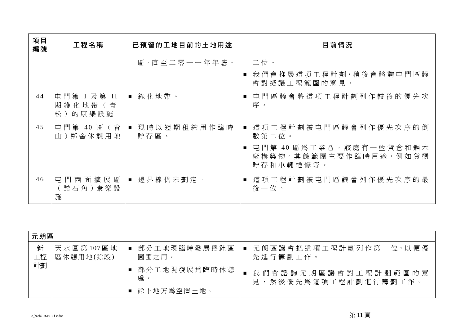| 項目<br>編號 | 工程名稱                              | 已預留的工地目前的土地用途         | 目前情況                                                          |
|----------|-----------------------------------|-----------------------|---------------------------------------------------------------|
|          |                                   | 區,直至二零一一年年底。          | 二位。                                                           |
|          |                                   |                       | 我 們 會 推 展 這 項 工 程 計 劃,稍 後 會 諮 詢 屯 門 區 議<br>會對擬議工程範圍的意見。       |
| 44       | 屯門第 I 及第 II<br>期綠化地帶(青<br>松)的康樂設施 | ■ 綠化地帶。               | 屯門區議會將這項工程計劃列作較後的優先次<br>序。                                    |
| 45       | 屯門第 40 區 (青<br>山)鄰舍休憩用地           | ■ 現時以短期租約用作臨時<br>貯存區。 | 這項工程計劃被屯門區議會列作優先次序的倒<br>數第二位。                                 |
|          |                                   |                       | 屯門第 40 區為工業區,該處有一些貨倉和鋸木<br>廠構築物。其餘範圍主要作臨時用途,例如貨櫃<br>貯存和車輛維修等。 |
| 46       | 屯門西面擴展區<br>踏石角)康樂設<br>施           | ■ 邊界線仍未劃定。            | 這項工程計劃被屯門區議會列作優先次序的最<br>後一位。                                  |

| 元朗區     |                        |                       |                                                 |
|---------|------------------------|-----------------------|-------------------------------------------------|
| 新<br>工程 | 天水圍第107區地<br>區休憩用地(餘段) | 部分工地現臨時發展爲社區<br>園圃之用。 | ■ 元朗區議會把這項工程計劃列作第一位,以便優<br>先進行籌劃工作。             |
| 計劃      |                        | 部分工地現發展為臨時休憩<br>處。    | 我們會諮詢元朗區議會對工程計劃範圍的意<br>,然後優先爲這項工程計劃進行籌劃工作。<br>見 |
|         |                        | 餘下地方爲空置土地。            |                                                 |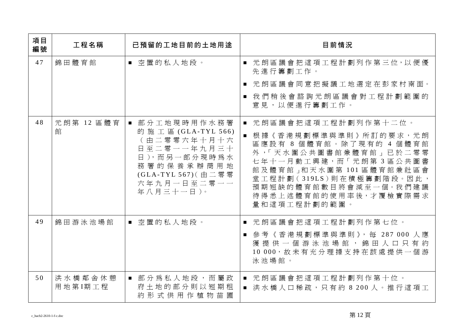| 項目<br>編號 | 工程名稱               | 已預留的工地目前的土地用途                                                                                                                                        | 目前情況                                                                                                                                                                                                                                                 |
|----------|--------------------|------------------------------------------------------------------------------------------------------------------------------------------------------|------------------------------------------------------------------------------------------------------------------------------------------------------------------------------------------------------------------------------------------------------|
| 47       | 錦田體育館              | ■ 空置的私人地段。                                                                                                                                           | ■ 元朗區議會把這項工程計劃列作第三位,以便優<br>先進行籌劃工作。<br>■ 元朗區議會同意把擬議工地選定在彭家村南面。<br>我們稍後會諮詢元朗區議會對工程計劃範圍的<br>意見,以便進行籌劃工作。                                                                                                                                               |
| 48       | 元朗第 12 區體育<br>館    | 部分工地現時用作水務署<br>的施工區 (GLA-TYL 566)<br>(由二零零六年十月十六<br>日至二零一一年九月三十<br>日),而另一部分現時為水<br>務署的保養承辦商用地<br>(GLA-TYL 567) ( 由 二 零 零<br>六年九月一日至二零一一<br>年八月三十一日)。 | 元朗區議會把這項工程計劃列作第十二位。<br>■ 根據《香港規劃標準與準則》所訂的要求,元朗<br>區應設有 8 個體育館。除了現有的 4 個體育館<br>外,「天水圍公共圖書館兼體育館」已於二零零<br>七年十一月動工興建,而「元朗第3區公共圖書<br>館及體育館」和天水圍第101區體育館兼社區會<br>堂工程計劃(319LS)則在積極籌劃階段。因此,<br>預期短缺的體育館數目將會減至一個。我們建議<br>待得悉上述體育館的使用率後,才覆檢實際需求<br>量和這項工程計劃的範圍。 |
| 49       | 錦田游泳池場館            | ■ 空置的私人地段。                                                                                                                                           | ■ 元朗區議會把這項工程計劃列作第七位。<br>■ 參考《香港規劃標準與準則》,每 287 000 人應<br>獲 提 供 一 個 游 泳 池 場 館 , 錦 田 人 口 只 有 約<br>10 000, 故未有充分理據支持在該處提供一個游<br>泳池場館。                                                                                                                    |
| 50       | 洪水橋鄰舍休憩<br>用地第I期工程 | ■ 部分為私人地段,而屬政<br>府土地的部分則以短期租<br>約形式供用作植物苗圃                                                                                                           | 元朗區議會把這項工程計劃列作第十位。<br>$\blacksquare$<br>■ 洪水橋人口稀疏,只有約 8 200 人。推行這項工                                                                                                                                                                                  |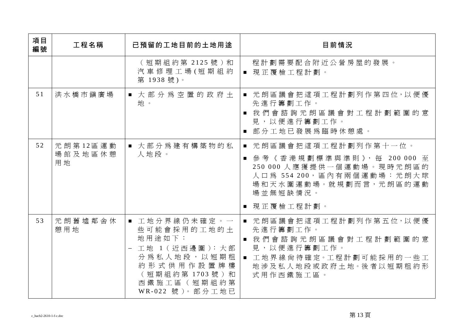| 項目<br>編號 | 工程名稱                      | 已預留的工地目前的土地用途                                                                                                                             | 目前情況                                                                                                                                                                |
|----------|---------------------------|-------------------------------------------------------------------------------------------------------------------------------------------|---------------------------------------------------------------------------------------------------------------------------------------------------------------------|
|          |                           | (短期組約第 2125號)和<br>汽車修理工場(短期組約<br>第 1938號)。                                                                                                | 程計劃需要配合附近公營房屋的發展。<br>■ 現正覆檢工程計劃。                                                                                                                                    |
| 51       | 洪水橋市鎭廣場                   | ■ 大部分為空置的政府土<br>地。                                                                                                                        | ■ 元朗區議會把這項工程計劃列作第四位, 以便優<br>先進行籌劃工作。<br>■ 我們會諮詢元朗區議會對工程計劃範圍的意<br>見,以便進行籌劃工作。<br>■ 部分工地已發展爲臨時休憩處。                                                                    |
| 52       | 元朗第12區運動<br>場館及地區休憩<br>用地 | ■ 大部分為建有構築物的私<br>人地段。                                                                                                                     | ■ 元朗區議會把這項工程計劃列作第十一位。<br>■ 參考《香港規劃標準與準則》,每 200 000 至<br>250 000 人應獲提供一個運動場。現時元朗區的<br>人口為 554 200, 區內有兩個運動場:元朗大球<br>場和天水圍運動場。就規劃而言,元朗區的運動<br>場並無短缺情況。<br>■ 現正覆檢工程計劃。 |
| 53       | 元朗舊墟鄰舍休<br>憩用地            | ■ 工地分界線仍未確定。一<br>些可能會採用的工地的土<br>地用途如下:<br>工地 1 (近西邊圍): 大部<br>分為私人地段,以短期租<br>約形式供用作設置牌樓<br>(短期組約第1703號)和<br>西鐵施工區(短期組約第<br>WR-022 號)。部分工地已 | ■ 元朗區議會把這項工程計劃列作第五位,以便優<br>先進行籌劃工作。<br>■ 我們會諮詢元朗區議會對工程計劃範圍的意<br>見,以便進行籌劃工作。<br>■ 工地界線尙待確定。工程計劃可能採用的一些工<br>地涉及私人地段或政府土地。後者以短期租約形<br>式用作西鐵施工區。                        |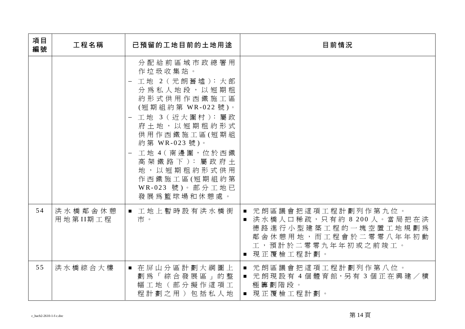| 項目<br>編號 | 工程名稱                | 已預留的工地目前的土地用途                                                                                                                                                                                                                                                                         | 目前情況                                                                                                                                     |
|----------|---------------------|---------------------------------------------------------------------------------------------------------------------------------------------------------------------------------------------------------------------------------------------------------------------------------------|------------------------------------------------------------------------------------------------------------------------------------------|
|          |                     | 分配給前區域市政總署用<br>作垃圾收集站。<br>工地 2 (元朗舊墟): 大部<br>分 為 私 人 地 段 , 以 短 期 租<br>約形式供用作西鐵施工區<br>(短期組約第 WR-022號)。<br>- 工地 3 (近大圍村):屬政<br>府土地,以短期租約形式<br>供用作西鐵施工區(短期組<br>約第 WR-023號)。<br>工地 4 ( 南邊 圍, 位於西鐵<br>高架 鐵 路 下 ): 屬 政 府 土<br>地,以短期租約形式供用<br>作西鐵施工區(短期組約第<br>WR-023 號)。部分工地已<br>發展爲籃球場和休憩處。 |                                                                                                                                          |
| 54       | 洪水橋鄰舍休憩<br>用地第II期工程 | ■ 工地上暫時設有洪水橋街<br>市。                                                                                                                                                                                                                                                                   | ■ 元朗區議會把這項工程計劃列作第九位。<br>■ 洪水橋人口稀疏,只有約 8 200 人。當局把在洪<br>德路進行小型建築工程的一塊空置工地規劃爲<br>鄰舍休憩用地,而工程會於二零零八年年初動<br>工,預計於二零零九年年初或之前竣工。<br>■ 現正覆檢工程計劃。 |
| 55       | 洪水橋綜合大樓             | ■ 在屏山分區計劃大綱圖上<br>劃為「綜合發展區」的整<br>幅工地(部分擬作這項工<br>程計劃之用)包括私人地                                                                                                                                                                                                                            | ■ 元朗區議會把這項工程計劃列作第八位。<br>■ 元朗現設有 4 個體育館,另有 3 個正在興建/積<br>極籌劃階段。<br>■ 現正覆檢工程計劃。                                                             |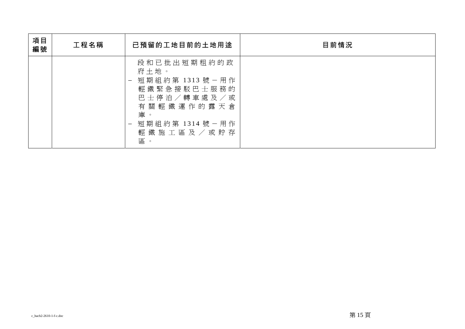| 項目<br>編號 | 工程名稱 | 已預留的工地目前的土地用途                                                                                                                                    | 目前情況 |
|----------|------|--------------------------------------------------------------------------------------------------------------------------------------------------|------|
|          |      | 段和已批出短期租約的政<br>府土地。<br>短期組約第 1313號-用作<br>輕鐵緊急接駁巴士服務的<br>巴士停泊/轉車處及/或<br>有關輕鐵運作的露天倉<br>庫。<br>短期組約第 1314號–用作<br>輕 鐵 施 工 區 及 / 或 貯 存<br>區<br>$\circ$ |      |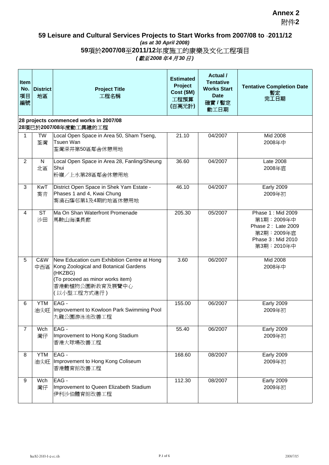### **Annex 2** 附件**2**

#### **59 Leisure and Cultural Services Projects to Start Works from 2007/08 to 2011/12** *(as at 30 April 2008)* **59**項於**2007/08**至**2011/12**年度施工的康樂及文化工程項目 *(* 截至 *2008* 年 *4* 月 *30* 日 *)*

| Item<br>No.<br>項目<br>編號 | <b>District</b><br>地區 | <b>Project Title</b><br>工程名稱                                                                                                                                          | <b>Estimated</b><br>Project<br>Cost (\$M)<br>工程預算<br>(百萬元計) | <b>Actual</b> /<br><b>Tentative</b><br><b>Works Start</b><br><b>Date</b><br>確實 / 暫定<br>動工日期 | <b>Tentative Completion Date</b><br>暫定<br>完工日期                                                          |
|-------------------------|-----------------------|-----------------------------------------------------------------------------------------------------------------------------------------------------------------------|-------------------------------------------------------------|---------------------------------------------------------------------------------------------|---------------------------------------------------------------------------------------------------------|
|                         |                       | 28 projects commenced works in 2007/08<br>28項已於2007/08年度動工興建的工程                                                                                                       |                                                             |                                                                                             |                                                                                                         |
| 1                       | <b>TW</b><br>荃灣       | Local Open Space in Area 50, Sham Tseng,<br>Tsuen Wan<br>荃灣深井第50區鄰舍休憩用地                                                                                               | 21.10                                                       | 04/2007                                                                                     | Mid 2008<br>2008年中                                                                                      |
| $\overline{2}$          | N<br>北區               | Local Open Space in Area 28, Fanling/Sheung<br>Shui<br>粉嶺/上水第28區鄰舍休憩用地                                                                                                | 36.60                                                       | 04/2007                                                                                     | Late 2008<br>2008年底                                                                                     |
| 3                       | <b>KwT</b><br>葵青      | District Open Space in Shek Yam Estate -<br>Phases 1 and 4, Kwai Chung<br>葵涌石蔭邨第1及4期的地區休憩用地                                                                           | 46.10                                                       | 04/2007                                                                                     | <b>Early 2009</b><br>2009年初                                                                             |
| 4                       | <b>ST</b><br>沙田       | Ma On Shan Waterfront Promenade<br>馬鞍山海濱長廊                                                                                                                            | 205.30                                                      | 05/2007                                                                                     | Phase 1: Mid 2009<br>第1期:2009年中<br>Phase 2: Late 2009<br>第2期: 2009年底<br>Phase 3: Mid 2010<br>第3期:2010年中 |
| 5                       | C&W<br>中西區            | New Education cum Exhibition Centre at Hong<br>Kong Zoological and Botanical Gardens<br>(HKZBG)<br>(To proceed as minor works item)<br>香港動植物公園新教育及展覽中心<br>(以小型工程方式進行) | 3.60                                                        | 06/2007                                                                                     | Mid 2008<br>2008年中                                                                                      |
| 6                       | <b>YTM</b><br>油尖旺     | EAG -<br>Improvement to Kowloon Park Swimming Pool<br>九龍公園游泳池改善工程                                                                                                     | 155.00                                                      | 06/2007                                                                                     | <b>Early 2009</b><br>2009年初                                                                             |
| $\overline{7}$          | Wch<br>灣仔             | EAG -<br>Improvement to Hong Kong Stadium<br>香港大球場改善工程                                                                                                                | 55.40                                                       | 06/2007                                                                                     | <b>Early 2009</b><br>2009年初                                                                             |
| 8                       | <b>YTM</b>            | EAG-<br>油尖旺   Improvement to Hong Kong Coliseum<br>香港體育館改善工程                                                                                                          | 168.60                                                      | 08/2007                                                                                     | <b>Early 2009</b><br>2009年初                                                                             |
| 9                       | Wch<br>灣仔             | EAG-<br>Improvement to Queen Elizabeth Stadium<br>伊利沙伯體育館改善工程                                                                                                         | 112.30                                                      | 08/2007                                                                                     | <b>Early 2009</b><br>2009年初                                                                             |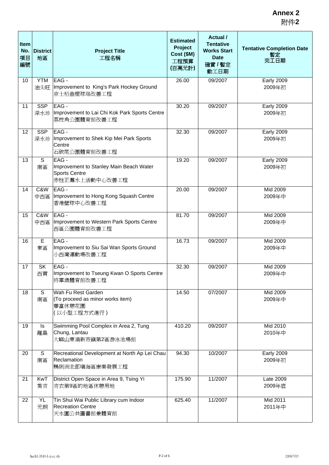| Item<br>No.<br>項目<br>編號 | <b>District</b><br>地區 | <b>Project Title</b><br>工程名稱                                                              | <b>Estimated</b><br>Project<br>Cost (\$M)<br>工程預算<br>(百萬元計) | Actual /<br><b>Tentative</b><br><b>Works Start</b><br><b>Date</b><br>確實 / 暫定<br>動工日期 | <b>Tentative Completion Date</b><br>暫定<br>完工日期 |
|-------------------------|-----------------------|-------------------------------------------------------------------------------------------|-------------------------------------------------------------|--------------------------------------------------------------------------------------|------------------------------------------------|
| 10                      | <b>YTM</b><br>油尖旺     | EAG -<br>Improvement to King's Park Hockey Ground<br>京士栢曲棍球塲改善工程                          | 26.00                                                       | 09/2007                                                                              | <b>Early 2009</b><br>2009年初                    |
| 11                      | <b>SSP</b><br>深水埗     | EAG -<br>Improvement to Lai Chi Kok Park Sports Centre<br>荔枝角公園體育館改善工程                    | 30.20                                                       | 09/2007                                                                              | <b>Early 2009</b><br>2009年初                    |
| 12                      | <b>SSP</b><br>深水埗     | EAG -<br>Improvement to Shek Kip Mei Park Sports<br>Centre<br>石硤尾公園體育館改善工程                | 32.30                                                       | 09/2007                                                                              | <b>Early 2009</b><br>2009年初                    |
| 13                      | S<br>南區               | EAG-<br>Improvement to Stanley Main Beach Water<br><b>Sports Centre</b><br>赤柱正灘水上活動中心改善工程 | 19.20                                                       | 09/2007                                                                              | <b>Early 2009</b><br>2009年初                    |
| 14                      | C&W<br>中西區            | EAG-<br>Improvement to Hong Kong Squash Centre<br>香港壁球中心改善工程                              | 20.00                                                       | 09/2007                                                                              | Mid 2009<br>2009年中                             |
| 15                      | C&W<br>中西區            | EAG -<br>Improvement to Western Park Sports Centre<br>西區公園體育館改善工程                         | 81.70                                                       | 09/2007                                                                              | Mid 2009<br>2009年中                             |
| 16                      | E<br>東區               | EAG-<br>Improvement to Siu Sai Wan Sports Ground<br>小西灣運動場改善工程                            | 16.73                                                       | 09/2007                                                                              | Mid 2009<br>2009年中                             |
| 17                      | <b>SK</b><br>西貢       | EAG-<br>Improvement to Tseung Kwan O Sports Centre<br>將軍澳體育館改善工程                          | 32.30                                                       | 09/2007                                                                              | Mid 2009<br>2009年中                             |
| 18                      | S<br>南區               | Wah Fu Rest Garden<br>(To proceed as minor works item)<br>華富休憩花園<br>(以小型工程方式進行)           | 14.50                                                       | 07/2007                                                                              | Mid 2009<br>2009年中                             |
| 19                      | ls<br>離島              | Swimming Pool Complex in Area 2, Tung<br>Chung, Lantau<br>大嶼山東涌新市鎮第2區游泳池場館                | 410.20                                                      | 09/2007                                                                              | Mid 2010<br>2010年中                             |
| 20                      | S<br>南區               | Recreational Development at North Ap Lei Chau<br>Reclamation<br>鴨脷洲北部填海區康樂發展工程            | 94.30                                                       | 10/2007                                                                              | <b>Early 2009</b><br>2009年初                    |
| 21                      | KwT<br>葵青             | District Open Space in Area 9, Tsing Yi<br>青衣第9區的地區休憩用地                                   | 175.90                                                      | 11/2007                                                                              | Late 2009<br>2009年底                            |
| 22                      | YL<br>元朗              | Tin Shui Wai Public Library cum Indoor<br><b>Recreation Centre</b><br>天水圍公共圖書館兼體育館        | 625.40                                                      | 11/2007                                                                              | Mid 2011<br>2011年中                             |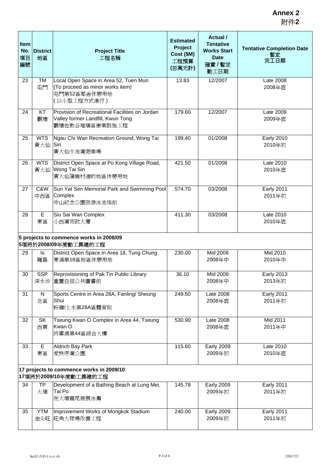| Item<br>No.<br>項目<br>編號                                           | <b>District</b><br>地區 | <b>Project Title</b><br>工程名稱                                                                             | <b>Estimated</b><br>Project<br>Cost (\$M)<br>工程預算<br>(百萬元計) | Actual /<br><b>Tentative</b><br><b>Works Start</b><br><b>Date</b><br>確實 / 暫定<br>動工日期 | <b>Tentative Completion Date</b><br>暫定<br>完工日期 |  |
|-------------------------------------------------------------------|-----------------------|----------------------------------------------------------------------------------------------------------|-------------------------------------------------------------|--------------------------------------------------------------------------------------|------------------------------------------------|--|
| 23                                                                | <b>TM</b><br>屯門       | Local Open Space in Area 52, Tuen Mun<br>(To proceed as minor works item)<br>屯門第52區鄰舍休憩用地<br>(以小型工程方式進行) | 13.83                                                       | 12/2007                                                                              | Late 2008<br>2008年底                            |  |
| 24                                                                | KT<br>觀塘              | Provision of Recreational Facilities on Jordan<br>Valley former Landfill, Kwun Tong<br>觀塘佐敦谷堆塡區康樂設施工程    | 179.60                                                      | 12/2007                                                                              | Late 2009<br>2009年底                            |  |
| 25                                                                | <b>WTS</b><br>黃大仙     | Ngau Chi Wan Recreation Ground, Wong Tai<br>Sin<br>黃大仙牛池灣遊樂場                                             | 199.40                                                      | 01/2008                                                                              | <b>Early 2010</b><br>2010年初                    |  |
| 26                                                                | <b>WTS</b><br>黄大仙     | District Open Space at Po Kong Village Road,<br>Wong Tai Sin<br>黃大仙蒲崗村道的地區休憩用地                           | 421.50                                                      | 01/2008                                                                              | Late 2010<br>2010年底                            |  |
| 27                                                                | C&W<br>中西區            | Sun Yat Sen Memorial Park and Swimming Pool<br>Complex<br>中山紀念公園暨游泳池塲館                                   | 574.70                                                      | 03/2008                                                                              | <b>Early 2011</b><br>2011年初                    |  |
| 28                                                                | E<br>東區               | Siu Sai Wan Complex<br>小西灣市政大廈                                                                           | 411.30                                                      | 03/2008                                                                              | Late 2010<br>2010年底                            |  |
| 5 projects to commence works in 2008/09<br>5項將於2008/09年度動工興建的工程   |                       |                                                                                                          |                                                             |                                                                                      |                                                |  |
| 29                                                                | Is<br>離島              | District Open Space in Area 18, Tung Chung<br>東涌第18區地區休憩用地                                               | 230.00                                                      | Mid 2008<br>2008年中                                                                   | Mid 2010<br>2010年中                             |  |
| 30                                                                | <b>SSP</b><br>深水埗     | Reprovisioning of Pak Tin Public Library<br>重置白田公共圖書館                                                    | 36.10                                                       | Mid 2008<br>2008年中                                                                   | <b>Early 2013</b><br>2013年初                    |  |
| 31                                                                | ${\sf N}$<br>北區       | Sports Centre in Area 28A, Fanling/ Sheung<br>Shui<br>粉嶺/上水第28A區體育館                                      | 249.50                                                      | Late 2008<br>2008年底                                                                  | <b>Early 2011</b><br>2011年初                    |  |
| 32                                                                | <b>SK</b><br>西貢       | Tseung Kwan O Complex in Area 44, Tseung<br>Kwan O<br>將軍澳第44區綜合大樓                                        | 530.90                                                      | Late 2008<br>2008年底                                                                  | Mid 2011<br>2011年中                             |  |
| 33                                                                | E<br>東區               | <b>Aldrich Bay Park</b><br>愛秩序灣公園                                                                        | 115.60                                                      | <b>Early 2009</b><br>2009年初                                                          | Late 2010<br>2010年底                            |  |
| 17 projects to commence works in 2009/10<br>17項將於2009/10年度動工興建的工程 |                       |                                                                                                          |                                                             |                                                                                      |                                                |  |
| 34                                                                | <b>TP</b><br>大埔       | Development of a Bathing Beach at Lung Mei,<br>Tai Po<br>在大埔龍尾發展泳灘                                       | 145.78                                                      | <b>Early 2009</b><br>2009年初                                                          | <b>Early 2011</b><br>2011年初                    |  |
| 35                                                                | <b>YTM</b>            | Improvement Works of Mongkok Stadium<br>油尖旺 旺角大球場改善工程                                                    | 240.00                                                      | <b>Early 2009</b><br>2009年初                                                          | <b>Early 2011</b><br>2011年初                    |  |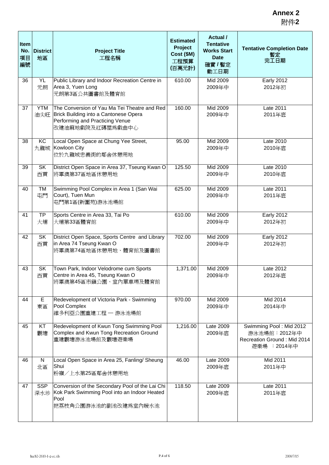| Item<br>No.<br>項目<br>編號 | <b>District</b><br>地區 | <b>Project Title</b><br>工程名稱                                                                                                                 | <b>Estimated</b><br>Project<br>Cost (\$M)<br>工程預算<br>(百萬元計) | Actual /<br><b>Tentative</b><br><b>Works Start</b><br><b>Date</b><br>確實/暫定<br>動工日期 | <b>Tentative Completion Date</b><br>暫定<br>完工日期                                         |
|-------------------------|-----------------------|----------------------------------------------------------------------------------------------------------------------------------------------|-------------------------------------------------------------|------------------------------------------------------------------------------------|----------------------------------------------------------------------------------------|
| 36                      | YL<br>元朗              | Public Library and Indoor Recreation Centre in<br>Area 3, Yuen Long<br>元朗第3區公共圖書館及體育館                                                        | 610.00                                                      | Mid 2009<br>2009年中                                                                 | <b>Early 2012</b><br>2012年初                                                            |
| 37                      | <b>YTM</b><br>油尖旺     | The Conversion of Yau Ma Tei Theatre and Red<br>Brick Building into a Cantonese Opera<br>Performing and Practicing Venue<br>改建油麻地戲院及紅磚屋爲戲曲中心 | 160.00                                                      | Mid 2009<br>2009年中                                                                 | Late 2011<br>2011年底                                                                    |
| 38                      | KC<br>九龍城             | Local Open Space at Chung Yee Street,<br>Kowloon City<br>位於九龍城忠義街的鄰舍休憩用地                                                                     | 95.00                                                       | Mid 2009<br>2009年中                                                                 | Late 2010<br>2010年底                                                                    |
| 39                      | <b>SK</b><br>西貢       | District Open Space in Area 37, Tseung Kwan O<br>將軍澳第37區地區休憩用地                                                                               | 125.50                                                      | Mid 2009<br>2009年中                                                                 | Late 2010<br>2010年底                                                                    |
| 40                      | <b>TM</b><br>屯門       | Swimming Pool Complex in Area 1 (San Wai<br>Court), Tuen Mun<br>屯門第1區(新圍苑)游泳池場館                                                              | 625.00                                                      | Mid 2009<br>2009年中                                                                 | Late 2011<br>2011年底                                                                    |
| 41                      | <b>TP</b><br>大埔       | Sports Centre in Area 33, Tai Po<br>大埔第33區體育館                                                                                                | 610.00                                                      | Mid 2009<br>2009年中                                                                 | <b>Early 2012</b><br>2012年初                                                            |
| 42                      | <b>SK</b><br>西貢       | District Open Space, Sports Centre and Library<br>in Area 74 Tseung Kwan O<br>將軍澳第74區地區休憩用地、體育館及圖書館                                          | 702.00                                                      | Mid 2009<br>2009年中                                                                 | <b>Early 2012</b><br>2012年初                                                            |
| 43                      | SK<br>西貢              | Town Park, Indoor Velodrome cum Sports<br>Centre in Area 45, Tseung Kwan O<br>將軍澳第45區市鎭公園、室內單車場及體育館                                          | 1,371.00                                                    | Mid 2009<br>2009年中                                                                 | Late 2012<br>2012年底                                                                    |
| 44                      | E<br>東區               | Redevelopment of Victoria Park - Swimming<br>Pool Complex<br>維多利亞公園重建工程 - 游泳池場館                                                              | 970.00                                                      | Mid 2009<br>2009年中                                                                 | Mid 2014<br>2014年中                                                                     |
| 45                      | KT<br>觀塘              | Redevelopment of Kwun Tong Swimming Pool<br>Complex and Kwun Tong Recreation Ground<br>重建觀塘游泳池場館及觀塘遊樂場                                       | 1,216.00                                                    | Late 2009<br>2009年底                                                                | Swimming Pool: Mid 2012<br>游泳池場館: 2012年中<br>Recreation Ground: Mid 2014<br>遊樂場: 2014年中 |
| 46                      | N<br>北區               | Local Open Space in Area 25, Fanling/ Sheung<br>Shui<br>粉嶺/上水第25區鄰舍休憩用地                                                                      | 46.00                                                       | Late 2009<br>2009年底                                                                | Mid 2011<br>2011年中                                                                     |
| 47                      | <b>SSP</b><br>深水埗     | Conversion of the Secondary Pool of the Lai Chi<br>Kok Park Swimming Pool into an Indoor Heated<br>Pool<br> 把荔枝角公園游泳池的副池改建爲室內暖水池             | 118.50                                                      | Late 2009<br>2009年底                                                                | Late 2011<br>2011年底                                                                    |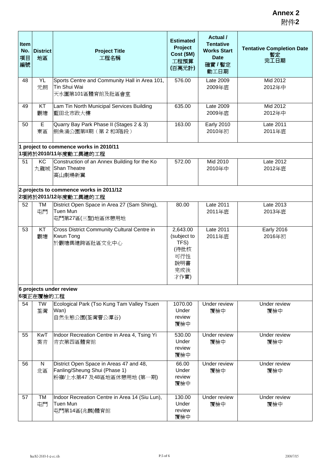| Item<br>No.<br>項目<br>編號 | <b>District</b><br>地區 | <b>Project Title</b><br>工程名稱                                                                           | <b>Estimated</b><br>Project<br>Cost (\$M)<br>工程預算<br>(百萬元計)          | Actual /<br><b>Tentative</b><br><b>Works Start</b><br><b>Date</b><br>確實 / 暫定<br>動工日期 | <b>Tentative Completion Date</b><br>暫定<br>完工日期 |
|-------------------------|-----------------------|--------------------------------------------------------------------------------------------------------|----------------------------------------------------------------------|--------------------------------------------------------------------------------------|------------------------------------------------|
| 48                      | YL<br>元朗              | Sports Centre and Community Hall in Area 101,<br>Tin Shui Wai<br>天水圍第101區體育館及社區會堂                      | 576.00                                                               | Late 2009<br>2009年底                                                                  | Mid 2012<br>2012年中                             |
| 49                      | KT<br>觀塘              | Lam Tin North Municipal Services Building<br>藍田北市政大樓                                                   | 635.00                                                               | Late 2009<br>2009年底                                                                  | Mid 2012<br>2012年中                             |
| 50                      | E<br>東區               | Quarry Bay Park Phase II (Stages 2 & 3)<br>側魚涌公園第Ⅱ期 (第2和3階段)<br>1 project to commence works in 2010/11 | 163.00                                                               | <b>Early 2010</b><br>2010年初                                                          | Late 2011<br>2011年底                            |
| 51                      | KC<br>九龍城             | 1項將於2010/11年度動工興建的工程<br>Construction of an Annex Building for the Ko<br>Shan Theatre<br>高山劇場新翼         | 572.00                                                               | Mid 2010<br>2010年中                                                                   | Late 2012<br>2012年底                            |
|                         |                       | 2-projects to commence works in 2011/12<br>2項將於2011/12年度動工興建的工程                                        |                                                                      |                                                                                      |                                                |
| 52                      | TM<br>屯門              | District Open Space in Area 27 (Sam Shing),<br>Tuen Mun<br>屯門第27區(三聖)地區休憩用地                            | 80.00                                                                | Late 2011<br>2011年底                                                                  | Late 2013<br>2013年底                            |
| 53                      | KT<br>觀塘              | Cross District Community Cultural Centre in<br>Kwun Tong<br>於觀塘興建跨區社區文化中心                              | 2,643.00<br>(subject to<br>TFS)<br>(待批核<br>可行性<br>說明書<br>完成後<br>才作實) | Late 2011<br>2011年底                                                                  | <b>Early 2016</b><br>2016年初                    |
|                         | 6項正在覆檢的工程             | 6 projects under review                                                                                |                                                                      |                                                                                      |                                                |
| 54                      | <b>TW</b><br>荃灣       | Ecological Park (Tso Kung Tam Valley Tsuen<br>Wan)<br>自然生態公園(荃灣曹公潭谷)                                   | 1070.00<br>Under<br>review<br>覆檢中                                    | Under review<br>覆檢中                                                                  | Under review<br>覆檢中                            |
| 55                      | <b>KwT</b><br>葵青      | Indoor Recreation Centre in Area 4, Tsing Yi<br>青衣第四區體育館                                               | 530.00<br>Under<br>review<br>覆檢中                                     | Under review<br>覆檢中                                                                  | Under review<br>覆檢中                            |
| 56                      | N<br>北區               | District Open Space in Areas 47 and 48,<br>Fanling/Sheung Shui (Phase 1)<br>粉嶺/上水第47 及48區地區休憩用地 (第一期)  | 66.00<br>Under<br>review<br>覆檢中                                      | Under review<br>覆檢中                                                                  | Under review<br>覆檢中                            |
| 57                      | TM<br>屯門              | Indoor Recreation Centre in Area 14 (Siu Lun),<br>Tuen Mun<br>屯門第14區(兆麟)體育館                            | 130.00<br>Under<br>review<br>覆檢中                                     | Under review<br>覆檢中                                                                  | Under review<br>覆檢中                            |